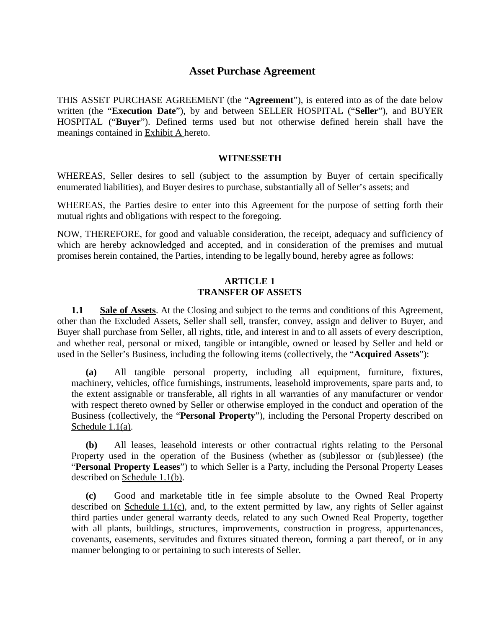# **Asset Purchase Agreement**

THIS ASSET PURCHASE AGREEMENT (the "**Agreement**"), is entered into as of the date below written (the "**Execution Date**"), by and between SELLER HOSPITAL ("**Seller**"), and BUYER HOSPITAL ("**Buyer**"). Defined terms used but not otherwise defined herein shall have the meanings contained in Exhibit A hereto.

#### **WITNESSETH**

WHEREAS, Seller desires to sell (subject to the assumption by Buyer of certain specifically enumerated liabilities), and Buyer desires to purchase, substantially all of Seller's assets; and

WHEREAS, the Parties desire to enter into this Agreement for the purpose of setting forth their mutual rights and obligations with respect to the foregoing.

NOW, THEREFORE, for good and valuable consideration, the receipt, adequacy and sufficiency of which are hereby acknowledged and accepted, and in consideration of the premises and mutual promises herein contained, the Parties, intending to be legally bound, hereby agree as follows:

#### **ARTICLE 1 TRANSFER OF ASSETS**

**1.1 Sale of Assets**. At the Closing and subject to the terms and conditions of this Agreement, other than the Excluded Assets, Seller shall sell, transfer, convey, assign and deliver to Buyer, and Buyer shall purchase from Seller, all rights, title, and interest in and to all assets of every description, and whether real, personal or mixed, tangible or intangible, owned or leased by Seller and held or used in the Seller's Business, including the following items (collectively, the "**Acquired Assets**"):

**(a)** All tangible personal property, including all equipment, furniture, fixtures, machinery, vehicles, office furnishings, instruments, leasehold improvements, spare parts and, to the extent assignable or transferable, all rights in all warranties of any manufacturer or vendor with respect thereto owned by Seller or otherwise employed in the conduct and operation of the Business (collectively, the "**Personal Property**"), including the Personal Property described on Schedule 1.1(a).

**(b)** All leases, leasehold interests or other contractual rights relating to the Personal Property used in the operation of the Business (whether as (sub)lessor or (sub)lessee) (the "**Personal Property Leases**") to which Seller is a Party, including the Personal Property Leases described on Schedule 1.1(b).

**(c)** Good and marketable title in fee simple absolute to the Owned Real Property described on Schedule 1.1(c), and, to the extent permitted by law, any rights of Seller against third parties under general warranty deeds, related to any such Owned Real Property, together with all plants, buildings, structures, improvements, construction in progress, appurtenances, covenants, easements, servitudes and fixtures situated thereon, forming a part thereof, or in any manner belonging to or pertaining to such interests of Seller.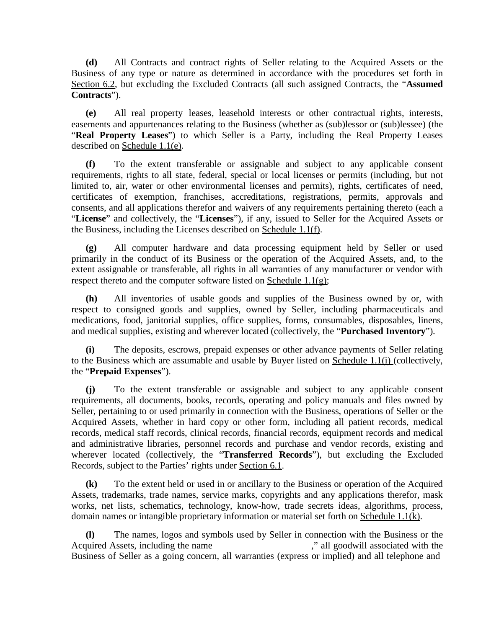**(d)** All Contracts and contract rights of Seller relating to the Acquired Assets or the Business of any type or nature as determined in accordance with the procedures set forth in Section 6.2, but excluding the Excluded Contracts (all such assigned Contracts, the "**Assumed Contracts**").

**(e)** All real property leases, leasehold interests or other contractual rights, interests, easements and appurtenances relating to the Business (whether as (sub)lessor or (sub)lessee) (the "**Real Property Leases**") to which Seller is a Party, including the Real Property Leases described on Schedule 1.1(e).

**(f)** To the extent transferable or assignable and subject to any applicable consent requirements, rights to all state, federal, special or local licenses or permits (including, but not limited to, air, water or other environmental licenses and permits), rights, certificates of need, certificates of exemption, franchises, accreditations, registrations, permits, approvals and consents, and all applications therefor and waivers of any requirements pertaining thereto (each a "**License**" and collectively, the "**Licenses**"), if any, issued to Seller for the Acquired Assets or the Business, including the Licenses described on Schedule 1.1(f).

**(g)** All computer hardware and data processing equipment held by Seller or used primarily in the conduct of its Business or the operation of the Acquired Assets, and, to the extent assignable or transferable, all rights in all warranties of any manufacturer or vendor with respect thereto and the computer software listed on Schedule  $1.1(g)$ ;

**(h)** All inventories of usable goods and supplies of the Business owned by or, with respect to consigned goods and supplies, owned by Seller, including pharmaceuticals and medications, food, janitorial supplies, office supplies, forms, consumables, disposables, linens, and medical supplies, existing and wherever located (collectively, the "**Purchased Inventory**").

**(i)** The deposits, escrows, prepaid expenses or other advance payments of Seller relating to the Business which are assumable and usable by Buyer listed on Schedule 1.1(i) (collectively, the "**Prepaid Expenses**").

**(j)** To the extent transferable or assignable and subject to any applicable consent requirements, all documents, books, records, operating and policy manuals and files owned by Seller, pertaining to or used primarily in connection with the Business, operations of Seller or the Acquired Assets, whether in hard copy or other form, including all patient records, medical records, medical staff records, clinical records, financial records, equipment records and medical and administrative libraries, personnel records and purchase and vendor records, existing and wherever located (collectively, the "**Transferred Records**"), but excluding the Excluded Records, subject to the Parties' rights under Section 6.1.

**(k)** To the extent held or used in or ancillary to the Business or operation of the Acquired Assets, trademarks, trade names, service marks, copyrights and any applications therefor, mask works, net lists, schematics, technology, know-how, trade secrets ideas, algorithms, process, domain names or intangible proprietary information or material set forth on Schedule  $1.1(k)$ .

**(l)** The names, logos and symbols used by Seller in connection with the Business or the Acquired Assets, including the name  $\ddot{\text{a}}$ , all goodwill associated with the Business of Seller as a going concern, all warranties (express or implied) and all telephone and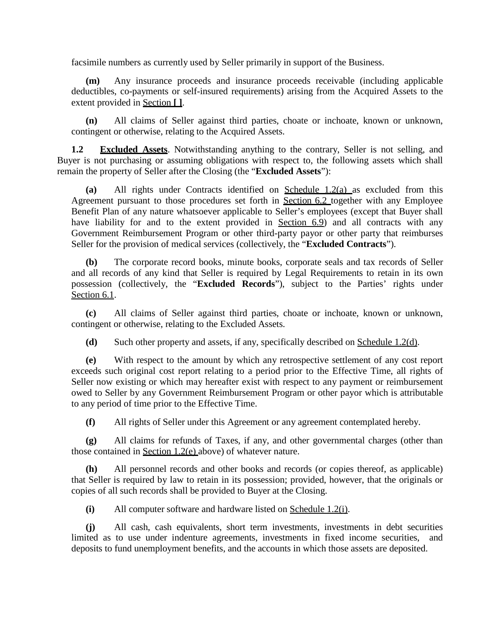facsimile numbers as currently used by Seller primarily in support of the Business.

**(m)** Any insurance proceeds and insurance proceeds receivable (including applicable deductibles, co-payments or self-insured requirements) arising from the Acquired Assets to the extent provided in Section **[ ]**.

**(n)** All claims of Seller against third parties, choate or inchoate, known or unknown, contingent or otherwise, relating to the Acquired Assets.

**1.2 Excluded Assets**. Notwithstanding anything to the contrary, Seller is not selling, and Buyer is not purchasing or assuming obligations with respect to, the following assets which shall remain the property of Seller after the Closing (the "**Excluded Assets**"):

**(a)** All rights under Contracts identified on Schedule 1.2(a) as excluded from this Agreement pursuant to those procedures set forth in Section 6.2 together with any Employee Benefit Plan of any nature whatsoever applicable to Seller's employees (except that Buyer shall have liability for and to the extent provided in Section 6.9) and all contracts with any Government Reimbursement Program or other third-party payor or other party that reimburses Seller for the provision of medical services (collectively, the "**Excluded Contracts**").

**(b)** The corporate record books, minute books, corporate seals and tax records of Seller and all records of any kind that Seller is required by Legal Requirements to retain in its own possession (collectively, the "**Excluded Records**"), subject to the Parties' rights under Section 6.1.

**(c)** All claims of Seller against third parties, choate or inchoate, known or unknown, contingent or otherwise, relating to the Excluded Assets.

**(d)** Such other property and assets, if any, specifically described on Schedule 1.2(d).

**(e)** With respect to the amount by which any retrospective settlement of any cost report exceeds such original cost report relating to a period prior to the Effective Time, all rights of Seller now existing or which may hereafter exist with respect to any payment or reimbursement owed to Seller by any Government Reimbursement Program or other payor which is attributable to any period of time prior to the Effective Time.

**(f)** All rights of Seller under this Agreement or any agreement contemplated hereby.

**(g)** All claims for refunds of Taxes, if any, and other governmental charges (other than those contained in Section 1.2(e) above) of whatever nature.

**(h)** All personnel records and other books and records (or copies thereof, as applicable) that Seller is required by law to retain in its possession; provided, however, that the originals or copies of all such records shall be provided to Buyer at the Closing.

**(i)** All computer software and hardware listed on Schedule 1.2(i).

**(j)** All cash, cash equivalents, short term investments, investments in debt securities limited as to use under indenture agreements, investments in fixed income securities, and deposits to fund unemployment benefits, and the accounts in which those assets are deposited.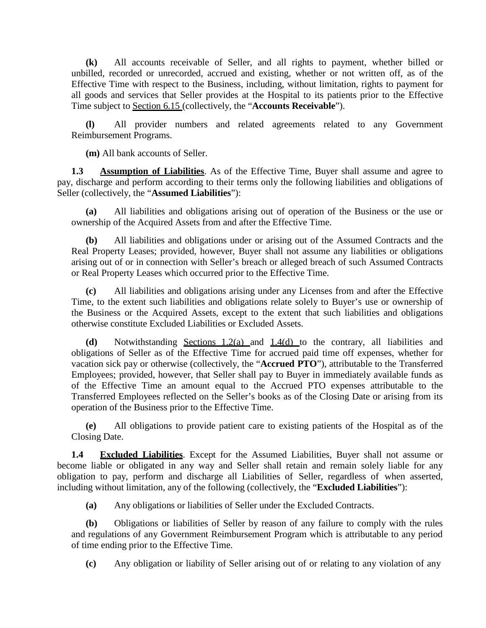**(k)** All accounts receivable of Seller, and all rights to payment, whether billed or unbilled, recorded or unrecorded, accrued and existing, whether or not written off, as of the Effective Time with respect to the Business, including, without limitation, rights to payment for all goods and services that Seller provides at the Hospital to its patients prior to the Effective Time subject to Section 6.15 (collectively, the "**Accounts Receivable**").

**(l)** All provider numbers and related agreements related to any Government Reimbursement Programs.

**(m)** All bank accounts of Seller.

**1.3 Assumption of Liabilities**. As of the Effective Time, Buyer shall assume and agree to pay, discharge and perform according to their terms only the following liabilities and obligations of Seller (collectively, the "**Assumed Liabilities**"):

**(a)** All liabilities and obligations arising out of operation of the Business or the use or ownership of the Acquired Assets from and after the Effective Time.

**(b)** All liabilities and obligations under or arising out of the Assumed Contracts and the Real Property Leases; provided, however, Buyer shall not assume any liabilities or obligations arising out of or in connection with Seller's breach or alleged breach of such Assumed Contracts or Real Property Leases which occurred prior to the Effective Time.

**(c)** All liabilities and obligations arising under any Licenses from and after the Effective Time, to the extent such liabilities and obligations relate solely to Buyer's use or ownership of the Business or the Acquired Assets, except to the extent that such liabilities and obligations otherwise constitute Excluded Liabilities or Excluded Assets.

**(d)** Notwithstanding Sections 1.2(a) and 1.4(d) to the contrary, all liabilities and obligations of Seller as of the Effective Time for accrued paid time off expenses, whether for vacation sick pay or otherwise (collectively, the "**Accrued PTO**"), attributable to the Transferred Employees; provided, however, that Seller shall pay to Buyer in immediately available funds as of the Effective Time an amount equal to the Accrued PTO expenses attributable to the Transferred Employees reflected on the Seller's books as of the Closing Date or arising from its operation of the Business prior to the Effective Time.

**(e)** All obligations to provide patient care to existing patients of the Hospital as of the Closing Date.

**1.4 Excluded Liabilities**. Except for the Assumed Liabilities, Buyer shall not assume or become liable or obligated in any way and Seller shall retain and remain solely liable for any obligation to pay, perform and discharge all Liabilities of Seller, regardless of when asserted, including without limitation, any of the following (collectively, the "**Excluded Liabilities**"):

**(a)** Any obligations or liabilities of Seller under the Excluded Contracts.

**(b)** Obligations or liabilities of Seller by reason of any failure to comply with the rules and regulations of any Government Reimbursement Program which is attributable to any period of time ending prior to the Effective Time.

**(c)** Any obligation or liability of Seller arising out of or relating to any violation of any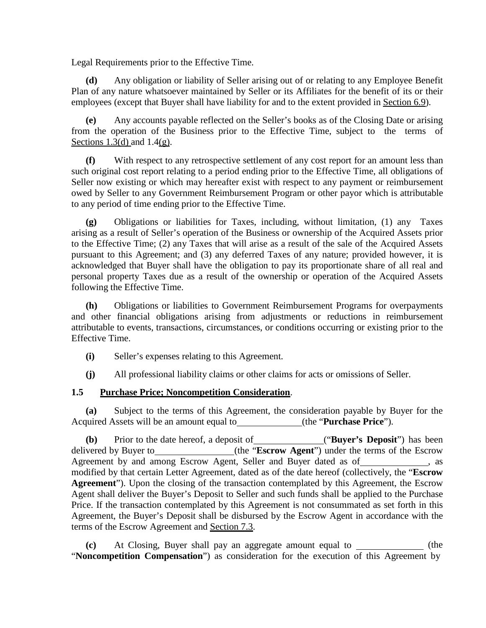Legal Requirements prior to the Effective Time.

**(d)** Any obligation or liability of Seller arising out of or relating to any Employee Benefit Plan of any nature whatsoever maintained by Seller or its Affiliates for the benefit of its or their employees (except that Buyer shall have liability for and to the extent provided in Section 6.9).

**(e)** Any accounts payable reflected on the Seller's books as of the Closing Date or arising from the operation of the Business prior to the Effective Time, subject to the terms of Sections 1.3(d) and 1.4(g).

**(f)** With respect to any retrospective settlement of any cost report for an amount less than such original cost report relating to a period ending prior to the Effective Time, all obligations of Seller now existing or which may hereafter exist with respect to any payment or reimbursement owed by Seller to any Government Reimbursement Program or other payor which is attributable to any period of time ending prior to the Effective Time.

**(g)** Obligations or liabilities for Taxes, including, without limitation, (1) any Taxes arising as a result of Seller's operation of the Business or ownership of the Acquired Assets prior to the Effective Time; (2) any Taxes that will arise as a result of the sale of the Acquired Assets pursuant to this Agreement; and (3) any deferred Taxes of any nature; provided however, it is acknowledged that Buyer shall have the obligation to pay its proportionate share of all real and personal property Taxes due as a result of the ownership or operation of the Acquired Assets following the Effective Time.

**(h)** Obligations or liabilities to Government Reimbursement Programs for overpayments and other financial obligations arising from adjustments or reductions in reimbursement attributable to events, transactions, circumstances, or conditions occurring or existing prior to the Effective Time.

- **(i)** Seller's expenses relating to this Agreement.
- **(j)** All professional liability claims or other claims for acts or omissions of Seller.

# **1.5 Purchase Price; Noncompetition Consideration**.

**(a)** Subject to the terms of this Agreement, the consideration payable by Buyer for the Acquired Assets will be an amount equal to (the "**Purchase Price**").

**(b)** Prior to the date hereof, a deposit of ("**Buyer's Deposit**") has been delivered by Buyer to\_\_\_\_\_\_\_\_\_\_\_\_\_\_\_(the "**Escrow Agent**") under the terms of the Escrow Agreement by and among Escrow Agent, Seller and Buyer dated as of , as modified by that certain Letter Agreement, dated as of the date hereof (collectively, the "**Escrow Agreement**"). Upon the closing of the transaction contemplated by this Agreement, the Escrow Agent shall deliver the Buyer's Deposit to Seller and such funds shall be applied to the Purchase Price. If the transaction contemplated by this Agreement is not consummated as set forth in this Agreement, the Buyer's Deposit shall be disbursed by the Escrow Agent in accordance with the terms of the Escrow Agreement and Section 7.3.

**(c)** At Closing, Buyer shall pay an aggregate amount equal to (the "**Noncompetition Compensation**") as consideration for the execution of this Agreement by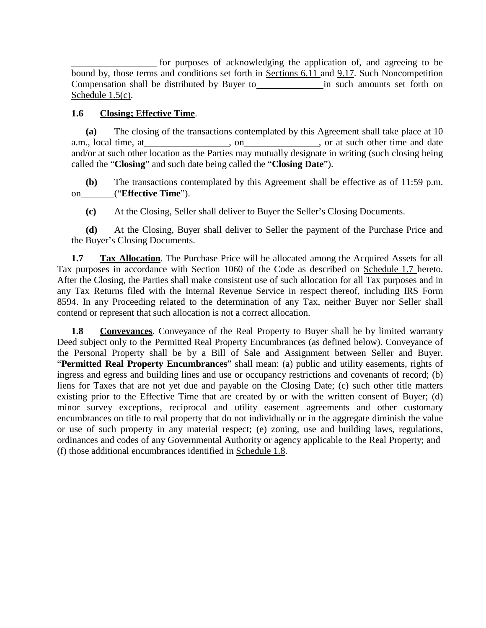for purposes of acknowledging the application of, and agreeing to be bound by, those terms and conditions set forth in Sections 6.11 and 9.17. Such Noncompetition Compensation shall be distributed by Buyer to in such amounts set forth on Schedule 1.5(c).

# **1.6 Closing; Effective Time**.

**(a)** The closing of the transactions contemplated by this Agreement shall take place at 10 a.m., local time, at , on , on , on , or at such other time and date and/or at such other location as the Parties may mutually designate in writing (such closing being called the "**Closing**" and such date being called the "**Closing Date**").

**(b)** The transactions contemplated by this Agreement shall be effective as of 11:59 p.m. on ("**Effective Time**").

**(c)** At the Closing, Seller shall deliver to Buyer the Seller's Closing Documents.

**(d)** At the Closing, Buyer shall deliver to Seller the payment of the Purchase Price and the Buyer's Closing Documents.

**1.7 Tax Allocation**. The Purchase Price will be allocated among the Acquired Assets for all Tax purposes in accordance with Section 1060 of the Code as described on Schedule 1.7 hereto. After the Closing, the Parties shall make consistent use of such allocation for all Tax purposes and in any Tax Returns filed with the Internal Revenue Service in respect thereof, including IRS Form 8594. In any Proceeding related to the determination of any Tax, neither Buyer nor Seller shall contend or represent that such allocation is not a correct allocation.

**1.8 Conveyances**. Conveyance of the Real Property to Buyer shall be by limited warranty Deed subject only to the Permitted Real Property Encumbrances (as defined below). Conveyance of the Personal Property shall be by a Bill of Sale and Assignment between Seller and Buyer. "**Permitted Real Property Encumbrances**" shall mean: (a) public and utility easements, rights of ingress and egress and building lines and use or occupancy restrictions and covenants of record; (b) liens for Taxes that are not yet due and payable on the Closing Date; (c) such other title matters existing prior to the Effective Time that are created by or with the written consent of Buyer; (d) minor survey exceptions, reciprocal and utility easement agreements and other customary encumbrances on title to real property that do not individually or in the aggregate diminish the value or use of such property in any material respect; (e) zoning, use and building laws, regulations, ordinances and codes of any Governmental Authority or agency applicable to the Real Property; and (f) those additional encumbrances identified in Schedule 1.8.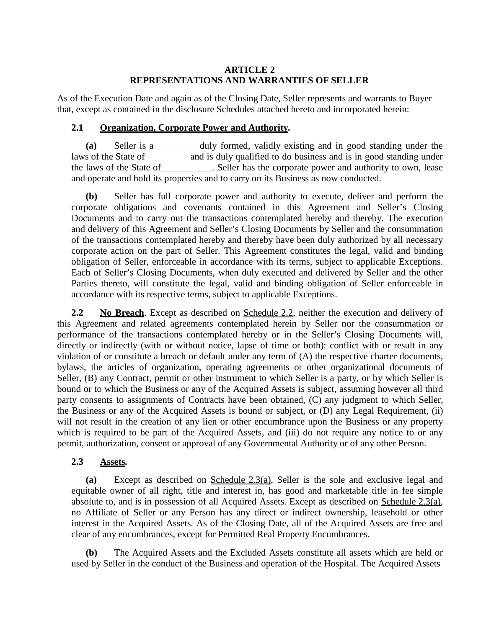#### **ARTICLE 2 REPRESENTATIONS AND WARRANTIES OF SELLER**

As of the Execution Date and again as of the Closing Date, Seller represents and warrants to Buyer that, except as contained in the disclosure Schedules attached hereto and incorporated herein:

#### **2.1 Organization, Corporate Power and Authority***.*

**(a)** Seller is a duly formed, validly existing and in good standing under the laws of the State of and is duly qualified to do business and is in good standing under the laws of the State of . Seller has the corporate power and authority to own, lease and operate and hold its properties and to carry on its Business as now conducted.

**(b)** Seller has full corporate power and authority to execute, deliver and perform the corporate obligations and covenants contained in this Agreement and Seller's Closing Documents and to carry out the transactions contemplated hereby and thereby. The execution and delivery of this Agreement and Seller's Closing Documents by Seller and the consummation of the transactions contemplated hereby and thereby have been duly authorized by all necessary corporate action on the part of Seller. This Agreement constitutes the legal, valid and binding obligation of Seller, enforceable in accordance with its terms, subject to applicable Exceptions. Each of Seller's Closing Documents, when duly executed and delivered by Seller and the other Parties thereto, will constitute the legal, valid and binding obligation of Seller enforceable in accordance with its respective terms, subject to applicable Exceptions.

2.2 **No Breach**. Except as described on Schedule 2.2, neither the execution and delivery of this Agreement and related agreements contemplated herein by Seller nor the consummation or performance of the transactions contemplated hereby or in the Seller's Closing Documents will, directly or indirectly (with or without notice, lapse of time or both): conflict with or result in any violation of or constitute a breach or default under any term of (A) the respective charter documents, bylaws, the articles of organization, operating agreements or other organizational documents of Seller, (B) any Contract, permit or other instrument to which Seller is a party, or by which Seller is bound or to which the Business or any of the Acquired Assets is subject, assuming however all third party consents to assignments of Contracts have been obtained, (C) any judgment to which Seller, the Business or any of the Acquired Assets is bound or subject, or (D) any Legal Requirement, (ii) will not result in the creation of any lien or other encumbrance upon the Business or any property which is required to be part of the Acquired Assets, and (iii) do not require any notice to or any permit, authorization, consent or approval of any Governmental Authority or of any other Person.

# **2.3 Assets***.*

**(a)** Except as described on Schedule 2.3(a), Seller is the sole and exclusive legal and equitable owner of all right, title and interest in, has good and marketable title in fee simple absolute to, and is in possession of all Acquired Assets. Except as described on Schedule 2.3(a), no Affiliate of Seller or any Person has any direct or indirect ownership, leasehold or other interest in the Acquired Assets. As of the Closing Date, all of the Acquired Assets are free and clear of any encumbrances, except for Permitted Real Property Encumbrances.

**(b)** The Acquired Assets and the Excluded Assets constitute all assets which are held or used by Seller in the conduct of the Business and operation of the Hospital. The Acquired Assets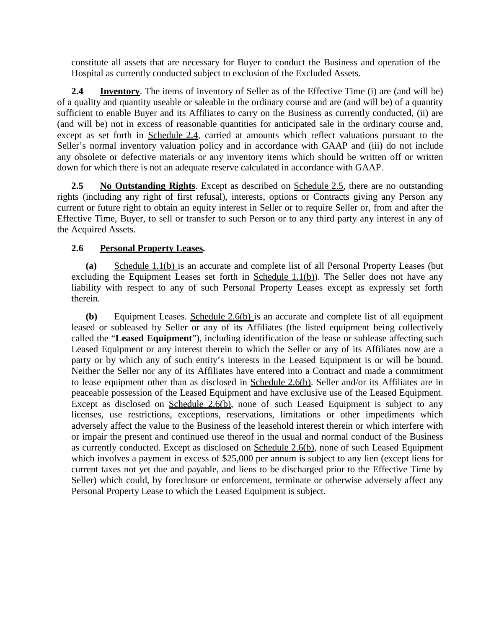constitute all assets that are necessary for Buyer to conduct the Business and operation of the Hospital as currently conducted subject to exclusion of the Excluded Assets.

**2.4 Inventory**. The items of inventory of Seller as of the Effective Time (i) are (and will be) of a quality and quantity useable or saleable in the ordinary course and are (and will be) of a quantity sufficient to enable Buyer and its Affiliates to carry on the Business as currently conducted, (ii) are (and will be) not in excess of reasonable quantities for anticipated sale in the ordinary course and, except as set forth in Schedule 2.4, carried at amounts which reflect valuations pursuant to the Seller's normal inventory valuation policy and in accordance with GAAP and (iii) do not include any obsolete or defective materials or any inventory items which should be written off or written down for which there is not an adequate reserve calculated in accordance with GAAP.

**2.5 No Outstanding Rights**. Except as described on Schedule 2.5, there are no outstanding rights (including any right of first refusal), interests, options or Contracts giving any Person any current or future right to obtain an equity interest in Seller or to require Seller or, from and after the Effective Time, Buyer, to sell or transfer to such Person or to any third party any interest in any of the Acquired Assets.

# **2.6 Personal Property Leases***.*

**(a)** Schedule 1.1(b) is an accurate and complete list of all Personal Property Leases (but excluding the Equipment Leases set forth in Schedule  $1.1(b)$ ). The Seller does not have any liability with respect to any of such Personal Property Leases except as expressly set forth therein.

**(b)** Equipment Leases. Schedule 2.6(b) is an accurate and complete list of all equipment leased or subleased by Seller or any of its Affiliates (the listed equipment being collectively called the "**Leased Equipment**"), including identification of the lease or sublease affecting such Leased Equipment or any interest therein to which the Seller or any of its Affiliates now are a party or by which any of such entity's interests in the Leased Equipment is or will be bound. Neither the Seller nor any of its Affiliates have entered into a Contract and made a commitment to lease equipment other than as disclosed in Schedule 2.6(b). Seller and/or its Affiliates are in peaceable possession of the Leased Equipment and have exclusive use of the Leased Equipment. Except as disclosed on Schedule 2.6(b), none of such Leased Equipment is subject to any licenses, use restrictions, exceptions, reservations, limitations or other impediments which adversely affect the value to the Business of the leasehold interest therein or which interfere with or impair the present and continued use thereof in the usual and normal conduct of the Business as currently conducted. Except as disclosed on Schedule 2.6(b), none of such Leased Equipment which involves a payment in excess of \$25,000 per annum is subject to any lien (except liens for current taxes not yet due and payable, and liens to be discharged prior to the Effective Time by Seller) which could, by foreclosure or enforcement, terminate or otherwise adversely affect any Personal Property Lease to which the Leased Equipment is subject.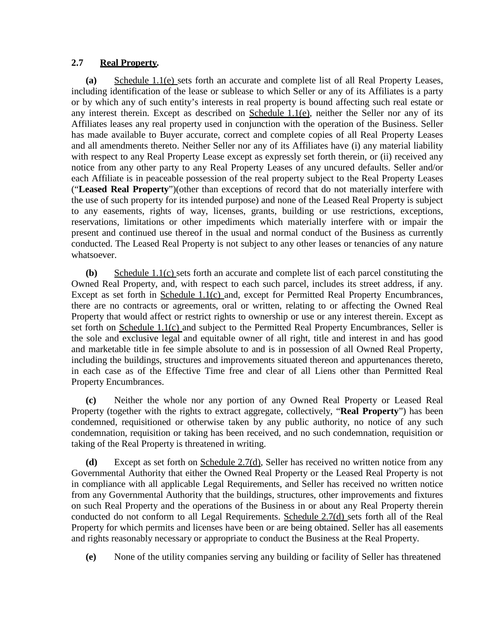# **2.7 Real Property***.*

**(a)** Schedule 1.1(e) sets forth an accurate and complete list of all Real Property Leases, including identification of the lease or sublease to which Seller or any of its Affiliates is a party or by which any of such entity's interests in real property is bound affecting such real estate or any interest therein. Except as described on Schedule 1.1(e), neither the Seller nor any of its Affiliates leases any real property used in conjunction with the operation of the Business. Seller has made available to Buyer accurate, correct and complete copies of all Real Property Leases and all amendments thereto. Neither Seller nor any of its Affiliates have (i) any material liability with respect to any Real Property Lease except as expressly set forth therein, or (ii) received any notice from any other party to any Real Property Leases of any uncured defaults. Seller and/or each Affiliate is in peaceable possession of the real property subject to the Real Property Leases ("**Leased Real Property**")(other than exceptions of record that do not materially interfere with the use of such property for its intended purpose) and none of the Leased Real Property is subject to any easements, rights of way, licenses, grants, building or use restrictions, exceptions, reservations, limitations or other impediments which materially interfere with or impair the present and continued use thereof in the usual and normal conduct of the Business as currently conducted. The Leased Real Property is not subject to any other leases or tenancies of any nature whatsoever.

**(b)** Schedule 1.1(c) sets forth an accurate and complete list of each parcel constituting the Owned Real Property, and, with respect to each such parcel, includes its street address, if any. Except as set forth in Schedule 1.1(c) and, except for Permitted Real Property Encumbrances, there are no contracts or agreements, oral or written, relating to or affecting the Owned Real Property that would affect or restrict rights to ownership or use or any interest therein. Except as set forth on Schedule 1.1(c) and subject to the Permitted Real Property Encumbrances, Seller is the sole and exclusive legal and equitable owner of all right, title and interest in and has good and marketable title in fee simple absolute to and is in possession of all Owned Real Property, including the buildings, structures and improvements situated thereon and appurtenances thereto, in each case as of the Effective Time free and clear of all Liens other than Permitted Real Property Encumbrances.

**(c)** Neither the whole nor any portion of any Owned Real Property or Leased Real Property (together with the rights to extract aggregate, collectively, "**Real Property**") has been condemned, requisitioned or otherwise taken by any public authority, no notice of any such condemnation, requisition or taking has been received, and no such condemnation, requisition or taking of the Real Property is threatened in writing.

**(d)** Except as set forth on Schedule 2.7(d), Seller has received no written notice from any Governmental Authority that either the Owned Real Property or the Leased Real Property is not in compliance with all applicable Legal Requirements, and Seller has received no written notice from any Governmental Authority that the buildings, structures, other improvements and fixtures on such Real Property and the operations of the Business in or about any Real Property therein conducted do not conform to all Legal Requirements. Schedule 2.7(d) sets forth all of the Real Property for which permits and licenses have been or are being obtained. Seller has all easements and rights reasonably necessary or appropriate to conduct the Business at the Real Property.

**(e)** None of the utility companies serving any building or facility of Seller has threatened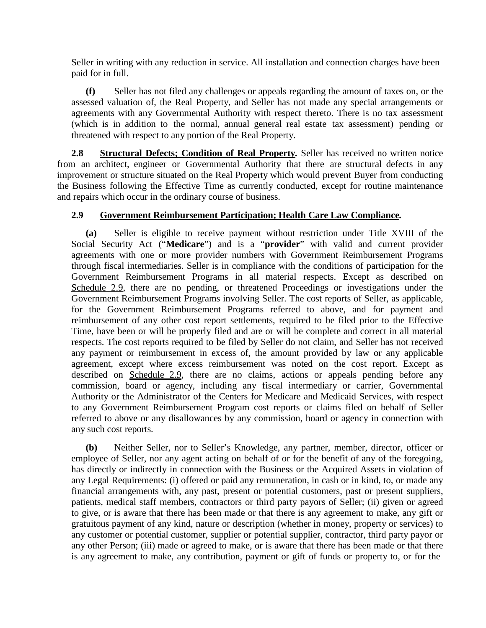Seller in writing with any reduction in service. All installation and connection charges have been paid for in full.

**(f)** Seller has not filed any challenges or appeals regarding the amount of taxes on, or the assessed valuation of, the Real Property, and Seller has not made any special arrangements or agreements with any Governmental Authority with respect thereto. There is no tax assessment (which is in addition to the normal, annual general real estate tax assessment) pending or threatened with respect to any portion of the Real Property.

**2.8 Structural Defects; Condition of Real Property***.* Seller has received no written notice from an architect, engineer or Governmental Authority that there are structural defects in any improvement or structure situated on the Real Property which would prevent Buyer from conducting the Business following the Effective Time as currently conducted, except for routine maintenance and repairs which occur in the ordinary course of business.

# **2.9 Government Reimbursement Participation; Health Care Law Compliance***.*

**(a)** Seller is eligible to receive payment without restriction under Title XVIII of the Social Security Act ("**Medicare**") and is a "**provider**" with valid and current provider agreements with one or more provider numbers with Government Reimbursement Programs through fiscal intermediaries. Seller is in compliance with the conditions of participation for the Government Reimbursement Programs in all material respects. Except as described on Schedule 2.9, there are no pending, or threatened Proceedings or investigations under the Government Reimbursement Programs involving Seller. The cost reports of Seller, as applicable, for the Government Reimbursement Programs referred to above, and for payment and reimbursement of any other cost report settlements, required to be filed prior to the Effective Time, have been or will be properly filed and are or will be complete and correct in all material respects. The cost reports required to be filed by Seller do not claim, and Seller has not received any payment or reimbursement in excess of, the amount provided by law or any applicable agreement, except where excess reimbursement was noted on the cost report. Except as described on Schedule 2.9, there are no claims, actions or appeals pending before any commission, board or agency, including any fiscal intermediary or carrier, Governmental Authority or the Administrator of the Centers for Medicare and Medicaid Services, with respect to any Government Reimbursement Program cost reports or claims filed on behalf of Seller referred to above or any disallowances by any commission, board or agency in connection with any such cost reports.

**(b)** Neither Seller, nor to Seller's Knowledge, any partner, member, director, officer or employee of Seller, nor any agent acting on behalf of or for the benefit of any of the foregoing, has directly or indirectly in connection with the Business or the Acquired Assets in violation of any Legal Requirements: (i) offered or paid any remuneration, in cash or in kind, to, or made any financial arrangements with, any past, present or potential customers, past or present suppliers, patients, medical staff members, contractors or third party payors of Seller; (ii) given or agreed to give, or is aware that there has been made or that there is any agreement to make, any gift or gratuitous payment of any kind, nature or description (whether in money, property or services) to any customer or potential customer, supplier or potential supplier, contractor, third party payor or any other Person; (iii) made or agreed to make, or is aware that there has been made or that there is any agreement to make, any contribution, payment or gift of funds or property to, or for the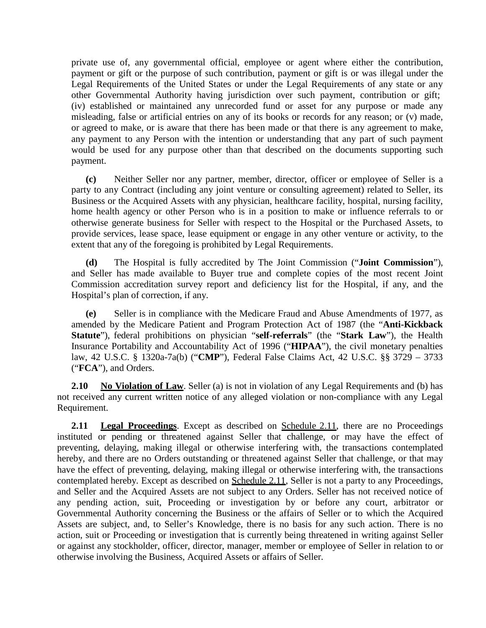private use of, any governmental official, employee or agent where either the contribution, payment or gift or the purpose of such contribution, payment or gift is or was illegal under the Legal Requirements of the United States or under the Legal Requirements of any state or any other Governmental Authority having jurisdiction over such payment, contribution or gift; (iv) established or maintained any unrecorded fund or asset for any purpose or made any misleading, false or artificial entries on any of its books or records for any reason; or (v) made, or agreed to make, or is aware that there has been made or that there is any agreement to make, any payment to any Person with the intention or understanding that any part of such payment would be used for any purpose other than that described on the documents supporting such payment.

**(c)** Neither Seller nor any partner, member, director, officer or employee of Seller is a party to any Contract (including any joint venture or consulting agreement) related to Seller, its Business or the Acquired Assets with any physician, healthcare facility, hospital, nursing facility, home health agency or other Person who is in a position to make or influence referrals to or otherwise generate business for Seller with respect to the Hospital or the Purchased Assets, to provide services, lease space, lease equipment or engage in any other venture or activity, to the extent that any of the foregoing is prohibited by Legal Requirements.

**(d)** The Hospital is fully accredited by The Joint Commission ("**Joint Commission**"), and Seller has made available to Buyer true and complete copies of the most recent Joint Commission accreditation survey report and deficiency list for the Hospital, if any, and the Hospital's plan of correction, if any.

**(e)** Seller is in compliance with the Medicare Fraud and Abuse Amendments of 1977, as amended by the Medicare Patient and Program Protection Act of 1987 (the "**Anti-Kickback Statute**"), federal prohibitions on physician "**self-referrals**" (the "**Stark Law**"), the Health Insurance Portability and Accountability Act of 1996 ("**HIPAA**"), the civil monetary penalties law, 42 U.S.C. § 1320a-7a(b) ("**CMP**"), Federal False Claims Act, 42 U.S.C. §§ 3729 – 3733 ("**FCA**"), and Orders.

**2.10 No Violation of Law**. Seller (a) is not in violation of any Legal Requirements and (b) has not received any current written notice of any alleged violation or non-compliance with any Legal Requirement.

**2.11 Legal Proceedings**. Except as described on Schedule 2.11, there are no Proceedings instituted or pending or threatened against Seller that challenge, or may have the effect of preventing, delaying, making illegal or otherwise interfering with, the transactions contemplated hereby, and there are no Orders outstanding or threatened against Seller that challenge, or that may have the effect of preventing, delaying, making illegal or otherwise interfering with, the transactions contemplated hereby. Except as described on Schedule 2.11, Seller is not a party to any Proceedings, and Seller and the Acquired Assets are not subject to any Orders. Seller has not received notice of any pending action, suit, Proceeding or investigation by or before any court, arbitrator or Governmental Authority concerning the Business or the affairs of Seller or to which the Acquired Assets are subject, and, to Seller's Knowledge, there is no basis for any such action. There is no action, suit or Proceeding or investigation that is currently being threatened in writing against Seller or against any stockholder, officer, director, manager, member or employee of Seller in relation to or otherwise involving the Business, Acquired Assets or affairs of Seller.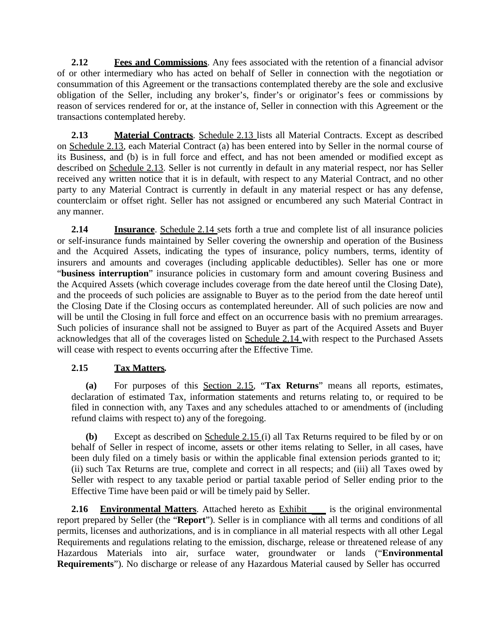**2.12 Fees and Commissions**. Any fees associated with the retention of a financial advisor of or other intermediary who has acted on behalf of Seller in connection with the negotiation or consummation of this Agreement or the transactions contemplated thereby are the sole and exclusive obligation of the Seller, including any broker's, finder's or originator's fees or commissions by reason of services rendered for or, at the instance of, Seller in connection with this Agreement or the transactions contemplated hereby.

**2.13 Material Contracts**. Schedule 2.13 lists all Material Contracts. Except as described on Schedule 2.13, each Material Contract (a) has been entered into by Seller in the normal course of its Business, and (b) is in full force and effect, and has not been amended or modified except as described on Schedule 2.13. Seller is not currently in default in any material respect, nor has Seller received any written notice that it is in default, with respect to any Material Contract, and no other party to any Material Contract is currently in default in any material respect or has any defense, counterclaim or offset right. Seller has not assigned or encumbered any such Material Contract in any manner.

**2.14 Insurance**. Schedule 2.14 sets forth a true and complete list of all insurance policies or self-insurance funds maintained by Seller covering the ownership and operation of the Business and the Acquired Assets, indicating the types of insurance, policy numbers, terms, identity of insurers and amounts and coverages (including applicable deductibles). Seller has one or more "**business interruption**" insurance policies in customary form and amount covering Business and the Acquired Assets (which coverage includes coverage from the date hereof until the Closing Date), and the proceeds of such policies are assignable to Buyer as to the period from the date hereof until the Closing Date if the Closing occurs as contemplated hereunder. All of such policies are now and will be until the Closing in full force and effect on an occurrence basis with no premium arrearages. Such policies of insurance shall not be assigned to Buyer as part of the Acquired Assets and Buyer acknowledges that all of the coverages listed on Schedule 2.14 with respect to the Purchased Assets will cease with respect to events occurring after the Effective Time.

# **2.15 Tax Matters***.*

**(a)** For purposes of this Section 2.15, "**Tax Returns**" means all reports, estimates, declaration of estimated Tax, information statements and returns relating to, or required to be filed in connection with, any Taxes and any schedules attached to or amendments of (including refund claims with respect to) any of the foregoing.

**(b)** Except as described on Schedule 2.15 (i) all Tax Returns required to be filed by or on behalf of Seller in respect of income, assets or other items relating to Seller, in all cases, have been duly filed on a timely basis or within the applicable final extension periods granted to it; (ii) such Tax Returns are true, complete and correct in all respects; and (iii) all Taxes owed by Seller with respect to any taxable period or partial taxable period of Seller ending prior to the Effective Time have been paid or will be timely paid by Seller.

**2.16 Environmental Matters**. Attached hereto as **Exhibit** is the original environmental report prepared by Seller (the "**Report**"). Seller is in compliance with all terms and conditions of all permits, licenses and authorizations, and is in compliance in all material respects with all other Legal Requirements and regulations relating to the emission, discharge, release or threatened release of any Hazardous Materials into air, surface water, groundwater or lands ("**Environmental Requirements**"). No discharge or release of any Hazardous Material caused by Seller has occurred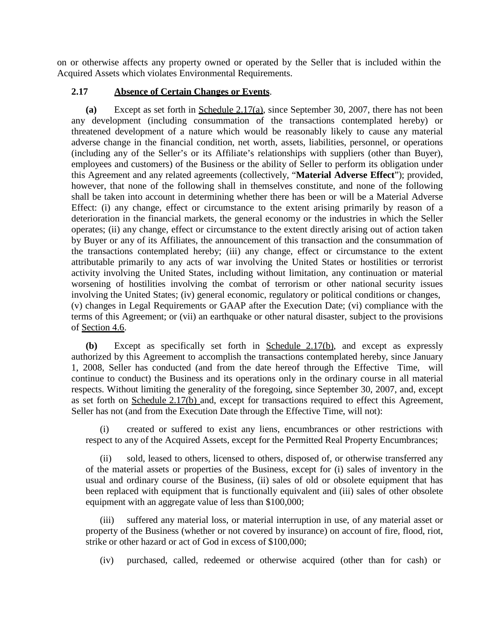on or otherwise affects any property owned or operated by the Seller that is included within the Acquired Assets which violates Environmental Requirements.

#### **2.17 Absence of Certain Changes or Events**.

**(a)** Except as set forth in Schedule 2.17(a), since September 30, 2007, there has not been any development (including consummation of the transactions contemplated hereby) or threatened development of a nature which would be reasonably likely to cause any material adverse change in the financial condition, net worth, assets, liabilities, personnel, or operations (including any of the Seller's or its Affiliate's relationships with suppliers (other than Buyer), employees and customers) of the Business or the ability of Seller to perform its obligation under this Agreement and any related agreements (collectively, "**Material Adverse Effect**"); provided, however, that none of the following shall in themselves constitute, and none of the following shall be taken into account in determining whether there has been or will be a Material Adverse Effect: (i) any change, effect or circumstance to the extent arising primarily by reason of a deterioration in the financial markets, the general economy or the industries in which the Seller operates; (ii) any change, effect or circumstance to the extent directly arising out of action taken by Buyer or any of its Affiliates, the announcement of this transaction and the consummation of the transactions contemplated hereby; (iii) any change, effect or circumstance to the extent attributable primarily to any acts of war involving the United States or hostilities or terrorist activity involving the United States, including without limitation, any continuation or material worsening of hostilities involving the combat of terrorism or other national security issues involving the United States; (iv) general economic, regulatory or political conditions or changes, (v) changes in Legal Requirements or GAAP after the Execution Date; (vi) compliance with the terms of this Agreement; or (vii) an earthquake or other natural disaster, subject to the provisions of Section 4.6.

**(b)** Except as specifically set forth in Schedule 2.17(b), and except as expressly authorized by this Agreement to accomplish the transactions contemplated hereby, since January 1, 2008, Seller has conducted (and from the date hereof through the Effective Time, will continue to conduct) the Business and its operations only in the ordinary course in all material respects. Without limiting the generality of the foregoing, since September 30, 2007, and, except as set forth on Schedule 2.17(b) and, except for transactions required to effect this Agreement, Seller has not (and from the Execution Date through the Effective Time, will not):

(i) created or suffered to exist any liens, encumbrances or other restrictions with respect to any of the Acquired Assets, except for the Permitted Real Property Encumbrances;

(ii) sold, leased to others, licensed to others, disposed of, or otherwise transferred any of the material assets or properties of the Business, except for (i) sales of inventory in the usual and ordinary course of the Business, (ii) sales of old or obsolete equipment that has been replaced with equipment that is functionally equivalent and (iii) sales of other obsolete equipment with an aggregate value of less than \$100,000;

(iii) suffered any material loss, or material interruption in use, of any material asset or property of the Business (whether or not covered by insurance) on account of fire, flood, riot, strike or other hazard or act of God in excess of \$100,000;

(iv) purchased, called, redeemed or otherwise acquired (other than for cash) or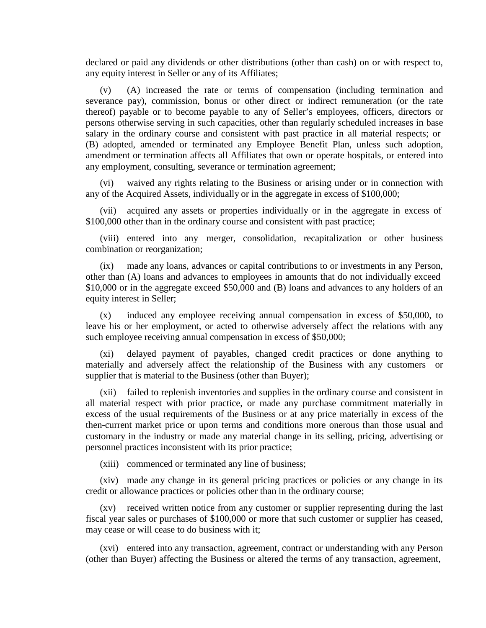declared or paid any dividends or other distributions (other than cash) on or with respect to, any equity interest in Seller or any of its Affiliates;

(v) (A) increased the rate or terms of compensation (including termination and severance pay), commission, bonus or other direct or indirect remuneration (or the rate thereof) payable or to become payable to any of Seller's employees, officers, directors or persons otherwise serving in such capacities, other than regularly scheduled increases in base salary in the ordinary course and consistent with past practice in all material respects; or (B) adopted, amended or terminated any Employee Benefit Plan, unless such adoption, amendment or termination affects all Affiliates that own or operate hospitals, or entered into any employment, consulting, severance or termination agreement;

(vi) waived any rights relating to the Business or arising under or in connection with any of the Acquired Assets, individually or in the aggregate in excess of \$100,000;

(vii) acquired any assets or properties individually or in the aggregate in excess of \$100,000 other than in the ordinary course and consistent with past practice;

(viii) entered into any merger, consolidation, recapitalization or other business combination or reorganization;

(ix) made any loans, advances or capital contributions to or investments in any Person, other than (A) loans and advances to employees in amounts that do not individually exceed \$10,000 or in the aggregate exceed \$50,000 and (B) loans and advances to any holders of an equity interest in Seller;

(x) induced any employee receiving annual compensation in excess of \$50,000, to leave his or her employment, or acted to otherwise adversely affect the relations with any such employee receiving annual compensation in excess of \$50,000;

(xi) delayed payment of payables, changed credit practices or done anything to materially and adversely affect the relationship of the Business with any customers or supplier that is material to the Business (other than Buyer);

(xii) failed to replenish inventories and supplies in the ordinary course and consistent in all material respect with prior practice, or made any purchase commitment materially in excess of the usual requirements of the Business or at any price materially in excess of the then-current market price or upon terms and conditions more onerous than those usual and customary in the industry or made any material change in its selling, pricing, advertising or personnel practices inconsistent with its prior practice;

(xiii) commenced or terminated any line of business;

(xiv) made any change in its general pricing practices or policies or any change in its credit or allowance practices or policies other than in the ordinary course;

(xv) received written notice from any customer or supplier representing during the last fiscal year sales or purchases of \$100,000 or more that such customer or supplier has ceased, may cease or will cease to do business with it;

(xvi) entered into any transaction, agreement, contract or understanding with any Person (other than Buyer) affecting the Business or altered the terms of any transaction, agreement,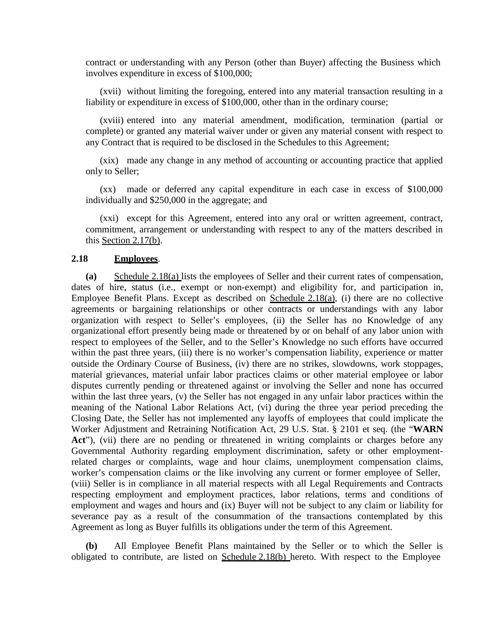contract or understanding with any Person (other than Buyer) affecting the Business which involves expenditure in excess of \$100,000;

(xvii) without limiting the foregoing, entered into any material transaction resulting in a liability or expenditure in excess of \$100,000, other than in the ordinary course;

(xviii) entered into any material amendment, modification, termination (partial or complete) or granted any material waiver under or given any material consent with respect to any Contract that is required to be disclosed in the Schedules to this Agreement;

(xix) made any change in any method of accounting or accounting practice that applied only to Seller;

(xx) made or deferred any capital expenditure in each case in excess of \$100,000 individually and \$250,000 in the aggregate; and

(xxi) except for this Agreement, entered into any oral or written agreement, contract, commitment, arrangement or understanding with respect to any of the matters described in this Section 2.17(b).

#### **2.18 Employees**.

**(a)** Schedule 2.18(a) lists the employees of Seller and their current rates of compensation, dates of hire, status (i.e., exempt or non-exempt) and eligibility for, and participation in, Employee Benefit Plans. Except as described on Schedule 2.18(a), (i) there are no collective agreements or bargaining relationships or other contracts or understandings with any labor organization with respect to Seller's employees, (ii) the Seller has no Knowledge of any organizational effort presently being made or threatened by or on behalf of any labor union with respect to employees of the Seller, and to the Seller's Knowledge no such efforts have occurred within the past three years, (iii) there is no worker's compensation liability, experience or matter outside the Ordinary Course of Business, (iv) there are no strikes, slowdowns, work stoppages, material grievances, material unfair labor practices claims or other material employee or labor disputes currently pending or threatened against or involving the Seller and none has occurred within the last three years, (v) the Seller has not engaged in any unfair labor practices within the meaning of the National Labor Relations Act, (vi) during the three year period preceding the Closing Date, the Seller has not implemented any layoffs of employees that could implicate the Worker Adjustment and Retraining Notification Act, 29 U.S. Stat. § 2101 et seq. (the "**WARN** Act"), (vii) there are no pending or threatened in writing complaints or charges before any Governmental Authority regarding employment discrimination, safety or other employmentrelated charges or complaints, wage and hour claims, unemployment compensation claims, worker's compensation claims or the like involving any current or former employee of Seller, (viii) Seller is in compliance in all material respects with all Legal Requirements and Contracts respecting employment and employment practices, labor relations, terms and conditions of employment and wages and hours and (ix) Buyer will not be subject to any claim or liability for severance pay as a result of the consummation of the transactions contemplated by this Agreement as long as Buyer fulfills its obligations under the term of this Agreement.

**(b)** All Employee Benefit Plans maintained by the Seller or to which the Seller is obligated to contribute, are listed on Schedule 2.18(b) hereto. With respect to the Employee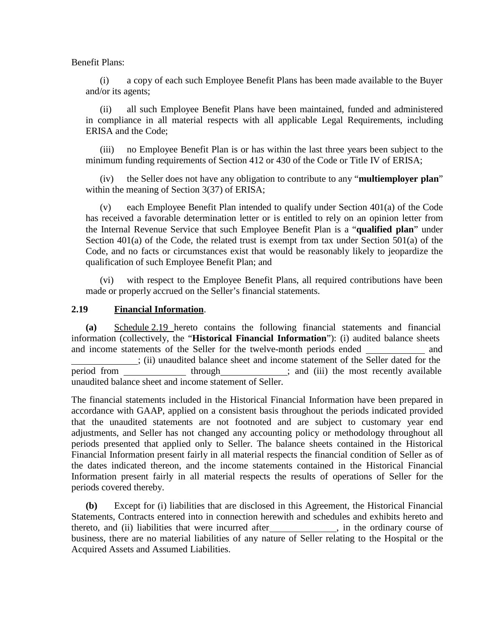Benefit Plans:

(i) a copy of each such Employee Benefit Plans has been made available to the Buyer and/or its agents;

(ii) all such Employee Benefit Plans have been maintained, funded and administered in compliance in all material respects with all applicable Legal Requirements, including ERISA and the Code;

(iii) no Employee Benefit Plan is or has within the last three years been subject to the minimum funding requirements of Section 412 or 430 of the Code or Title IV of ERISA;

(iv) the Seller does not have any obligation to contribute to any "**multiemployer plan**" within the meaning of Section 3(37) of ERISA;

(v) each Employee Benefit Plan intended to qualify under Section 401(a) of the Code has received a favorable determination letter or is entitled to rely on an opinion letter from the Internal Revenue Service that such Employee Benefit Plan is a "**qualified plan**" under Section 401(a) of the Code, the related trust is exempt from tax under Section 501(a) of the Code, and no facts or circumstances exist that would be reasonably likely to jeopardize the qualification of such Employee Benefit Plan; and

with respect to the Employee Benefit Plans, all required contributions have been made or properly accrued on the Seller's financial statements.

#### **2.19 Financial Information**.

**(a)** Schedule 2.19 hereto contains the following financial statements and financial information (collectively, the "**Historical Financial Information**"): (i) audited balance sheets and income statements of the Seller for the twelve-month periods ended and ; (ii) unaudited balance sheet and income statement of the Seller dated for the period from <u>through</u> interest in the most recently available unaudited balance sheet and income statement of Seller.

The financial statements included in the Historical Financial Information have been prepared in accordance with GAAP, applied on a consistent basis throughout the periods indicated provided that the unaudited statements are not footnoted and are subject to customary year end adjustments, and Seller has not changed any accounting policy or methodology throughout all periods presented that applied only to Seller. The balance sheets contained in the Historical Financial Information present fairly in all material respects the financial condition of Seller as of the dates indicated thereon, and the income statements contained in the Historical Financial Information present fairly in all material respects the results of operations of Seller for the periods covered thereby.

**(b)** Except for (i) liabilities that are disclosed in this Agreement, the Historical Financial Statements, Contracts entered into in connection herewith and schedules and exhibits hereto and thereto, and (ii) liabilities that were incurred after , in the ordinary course of business, there are no material liabilities of any nature of Seller relating to the Hospital or the Acquired Assets and Assumed Liabilities.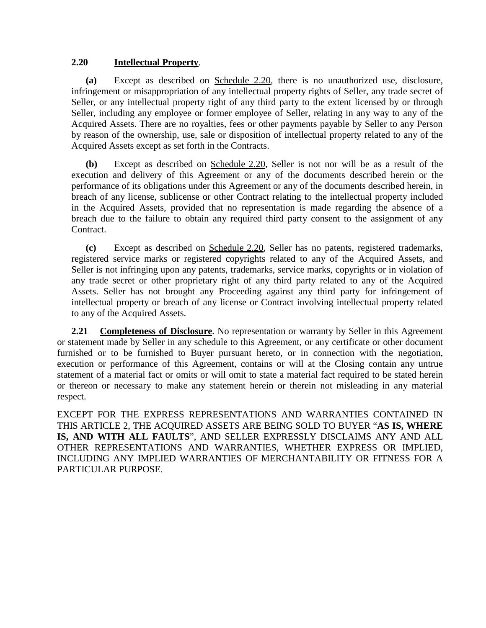#### **2.20 Intellectual Property**.

**(a)** Except as described on Schedule 2.20, there is no unauthorized use, disclosure, infringement or misappropriation of any intellectual property rights of Seller, any trade secret of Seller, or any intellectual property right of any third party to the extent licensed by or through Seller, including any employee or former employee of Seller, relating in any way to any of the Acquired Assets. There are no royalties, fees or other payments payable by Seller to any Person by reason of the ownership, use, sale or disposition of intellectual property related to any of the Acquired Assets except as set forth in the Contracts.

**(b)** Except as described on Schedule 2.20, Seller is not nor will be as a result of the execution and delivery of this Agreement or any of the documents described herein or the performance of its obligations under this Agreement or any of the documents described herein, in breach of any license, sublicense or other Contract relating to the intellectual property included in the Acquired Assets, provided that no representation is made regarding the absence of a breach due to the failure to obtain any required third party consent to the assignment of any Contract.

**(c)** Except as described on Schedule 2.20, Seller has no patents, registered trademarks, registered service marks or registered copyrights related to any of the Acquired Assets, and Seller is not infringing upon any patents, trademarks, service marks, copyrights or in violation of any trade secret or other proprietary right of any third party related to any of the Acquired Assets. Seller has not brought any Proceeding against any third party for infringement of intellectual property or breach of any license or Contract involving intellectual property related to any of the Acquired Assets.

**2.21 Completeness of Disclosure**. No representation or warranty by Seller in this Agreement or statement made by Seller in any schedule to this Agreement, or any certificate or other document furnished or to be furnished to Buyer pursuant hereto, or in connection with the negotiation, execution or performance of this Agreement, contains or will at the Closing contain any untrue statement of a material fact or omits or will omit to state a material fact required to be stated herein or thereon or necessary to make any statement herein or therein not misleading in any material respect.

EXCEPT FOR THE EXPRESS REPRESENTATIONS AND WARRANTIES CONTAINED IN THIS ARTICLE 2, THE ACQUIRED ASSETS ARE BEING SOLD TO BUYER "**AS IS, WHERE IS, AND WITH ALL FAULTS**", AND SELLER EXPRESSLY DISCLAIMS ANY AND ALL OTHER REPRESENTATIONS AND WARRANTIES, WHETHER EXPRESS OR IMPLIED, INCLUDING ANY IMPLIED WARRANTIES OF MERCHANTABILITY OR FITNESS FOR A PARTICULAR PURPOSE.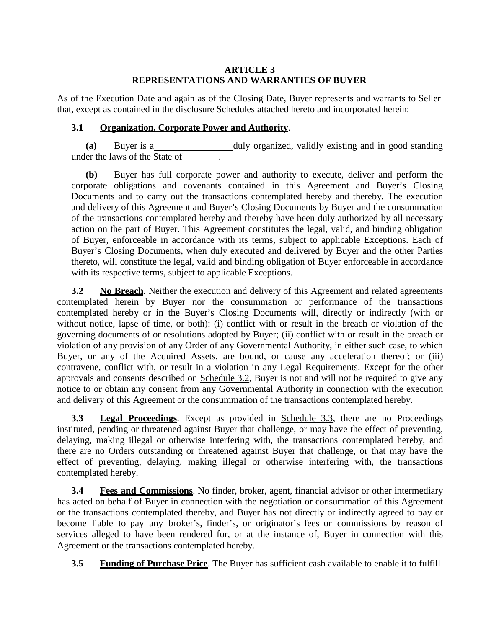#### **ARTICLE 3 REPRESENTATIONS AND WARRANTIES OF BUYER**

As of the Execution Date and again as of the Closing Date, Buyer represents and warrants to Seller that, except as contained in the disclosure Schedules attached hereto and incorporated herein:

# **3.1 Organization, Corporate Power and Authority**.

**(a)** Buyer is a duly organized, validly existing and in good standing under the laws of the State of .

**(b)** Buyer has full corporate power and authority to execute, deliver and perform the corporate obligations and covenants contained in this Agreement and Buyer's Closing Documents and to carry out the transactions contemplated hereby and thereby. The execution and delivery of this Agreement and Buyer's Closing Documents by Buyer and the consummation of the transactions contemplated hereby and thereby have been duly authorized by all necessary action on the part of Buyer. This Agreement constitutes the legal, valid, and binding obligation of Buyer, enforceable in accordance with its terms, subject to applicable Exceptions. Each of Buyer's Closing Documents, when duly executed and delivered by Buyer and the other Parties thereto, will constitute the legal, valid and binding obligation of Buyer enforceable in accordance with its respective terms, subject to applicable Exceptions.

**3.2 No Breach**. Neither the execution and delivery of this Agreement and related agreements contemplated herein by Buyer nor the consummation or performance of the transactions contemplated hereby or in the Buyer's Closing Documents will, directly or indirectly (with or without notice, lapse of time, or both): (i) conflict with or result in the breach or violation of the governing documents of or resolutions adopted by Buyer; (ii) conflict with or result in the breach or violation of any provision of any Order of any Governmental Authority, in either such case, to which Buyer, or any of the Acquired Assets, are bound, or cause any acceleration thereof; or (iii) contravene, conflict with, or result in a violation in any Legal Requirements. Except for the other approvals and consents described on Schedule 3.2, Buyer is not and will not be required to give any notice to or obtain any consent from any Governmental Authority in connection with the execution and delivery of this Agreement or the consummation of the transactions contemplated hereby.

**3.3 Legal Proceedings**. Except as provided in Schedule 3.3, there are no Proceedings instituted, pending or threatened against Buyer that challenge, or may have the effect of preventing, delaying, making illegal or otherwise interfering with, the transactions contemplated hereby, and there are no Orders outstanding or threatened against Buyer that challenge, or that may have the effect of preventing, delaying, making illegal or otherwise interfering with, the transactions contemplated hereby.

**3.4 Fees and Commissions**. No finder, broker, agent, financial advisor or other intermediary has acted on behalf of Buyer in connection with the negotiation or consummation of this Agreement or the transactions contemplated thereby, and Buyer has not directly or indirectly agreed to pay or become liable to pay any broker's, finder's, or originator's fees or commissions by reason of services alleged to have been rendered for, or at the instance of, Buyer in connection with this Agreement or the transactions contemplated hereby.

**3.5 Funding of Purchase Price**. The Buyer has sufficient cash available to enable it to fulfill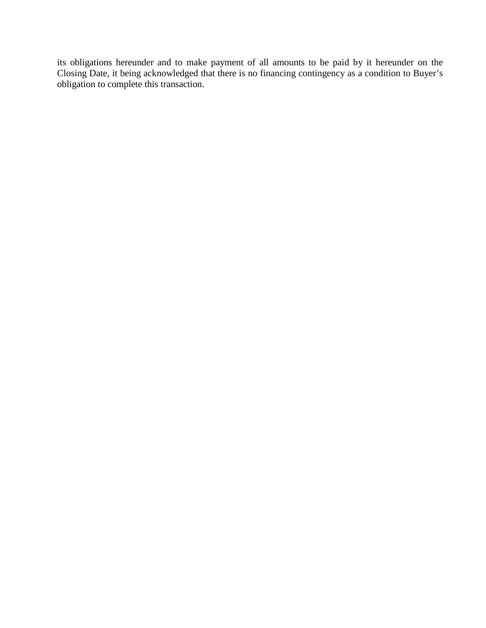its obligations hereunder and to make payment of all amounts to be paid by it hereunder on the Closing Date, it being acknowledged that there is no financing contingency as a condition to Buyer's obligation to complete this transaction.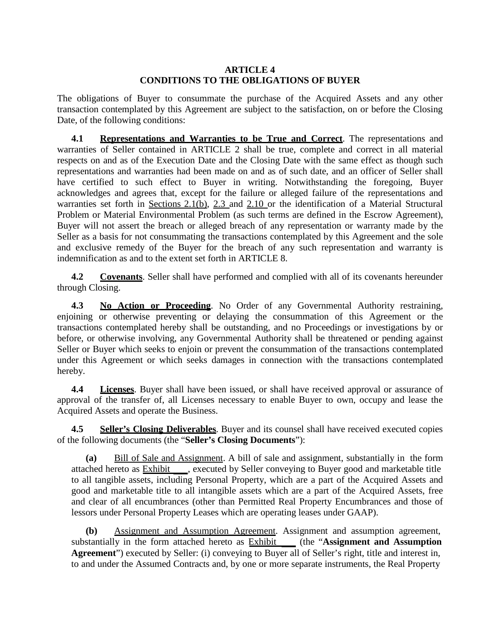#### **ARTICLE 4 CONDITIONS TO THE OBLIGATIONS OF BUYER**

The obligations of Buyer to consummate the purchase of the Acquired Assets and any other transaction contemplated by this Agreement are subject to the satisfaction, on or before the Closing Date, of the following conditions:

**4.1 Representations and Warranties to be True and Correct**. The representations and warranties of Seller contained in ARTICLE 2 shall be true, complete and correct in all material respects on and as of the Execution Date and the Closing Date with the same effect as though such representations and warranties had been made on and as of such date, and an officer of Seller shall have certified to such effect to Buyer in writing. Notwithstanding the foregoing, Buyer acknowledges and agrees that, except for the failure or alleged failure of the representations and warranties set forth in Sections 2.1(b), 2.3 and 2.10 or the identification of a Material Structural Problem or Material Environmental Problem (as such terms are defined in the Escrow Agreement), Buyer will not assert the breach or alleged breach of any representation or warranty made by the Seller as a basis for not consummating the transactions contemplated by this Agreement and the sole and exclusive remedy of the Buyer for the breach of any such representation and warranty is indemnification as and to the extent set forth in ARTICLE 8.

**4.2 Covenants**. Seller shall have performed and complied with all of its covenants hereunder through Closing.

**4.3 No Action or Proceeding**. No Order of any Governmental Authority restraining, enjoining or otherwise preventing or delaying the consummation of this Agreement or the transactions contemplated hereby shall be outstanding, and no Proceedings or investigations by or before, or otherwise involving, any Governmental Authority shall be threatened or pending against Seller or Buyer which seeks to enjoin or prevent the consummation of the transactions contemplated under this Agreement or which seeks damages in connection with the transactions contemplated hereby.

**4.4 Licenses**. Buyer shall have been issued, or shall have received approval or assurance of approval of the transfer of, all Licenses necessary to enable Buyer to own, occupy and lease the Acquired Assets and operate the Business.

**4.5 Seller's Closing Deliverables**. Buyer and its counsel shall have received executed copies of the following documents (the "**Seller's Closing Documents**"):

**(a)** Bill of Sale and Assignment. A bill of sale and assignment, substantially in the form attached hereto as Exhibit , executed by Seller conveying to Buyer good and marketable title to all tangible assets, including Personal Property, which are a part of the Acquired Assets and good and marketable title to all intangible assets which are a part of the Acquired Assets, free and clear of all encumbrances (other than Permitted Real Property Encumbrances and those of lessors under Personal Property Leases which are operating leases under GAAP).

**(b)** Assignment and Assumption Agreement. Assignment and assumption agreement, substantially in the form attached hereto as Exhibit (the "**Assignment and Assumption Agreement**") executed by Seller: (i) conveying to Buyer all of Seller's right, title and interest in, to and under the Assumed Contracts and, by one or more separate instruments, the Real Property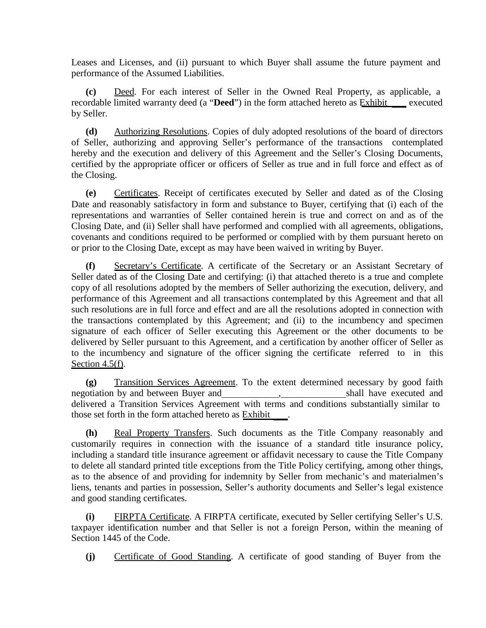Leases and Licenses, and (ii) pursuant to which Buyer shall assume the future payment and performance of the Assumed Liabilities.

**(c)** Deed. For each interest of Seller in the Owned Real Property, as applicable, a recordable limited warranty deed (a "Deed") in the form attached hereto as **Exhibit** sexecuted by Seller.

**(d)** Authorizing Resolutions. Copies of duly adopted resolutions of the board of directors of Seller, authorizing and approving Seller's performance of the transactions contemplated hereby and the execution and delivery of this Agreement and the Seller's Closing Documents, certified by the appropriate officer or officers of Seller as true and in full force and effect as of the Closing.

**(e)** Certificates. Receipt of certificates executed by Seller and dated as of the Closing Date and reasonably satisfactory in form and substance to Buyer, certifying that (i) each of the representations and warranties of Seller contained herein is true and correct on and as of the Closing Date, and (ii) Seller shall have performed and complied with all agreements, obligations, covenants and conditions required to be performed or complied with by them pursuant hereto on or prior to the Closing Date, except as may have been waived in writing by Buyer.

**(f)** Secretary's Certificate. A certificate of the Secretary or an Assistant Secretary of Seller dated as of the Closing Date and certifying: (i) that attached thereto is a true and complete copy of all resolutions adopted by the members of Seller authorizing the execution, delivery, and performance of this Agreement and all transactions contemplated by this Agreement and that all such resolutions are in full force and effect and are all the resolutions adopted in connection with the transactions contemplated by this Agreement; and (ii) to the incumbency and specimen signature of each officer of Seller executing this Agreement or the other documents to be delivered by Seller pursuant to this Agreement, and a certification by another officer of Seller as to the incumbency and signature of the officer signing the certificate referred to in this Section 4.5(f).

**(g)** Transition Services Agreement. To the extent determined necessary by good faith negotiation by and between Buyer and , shall have executed and delivered a Transition Services Agreement with terms and conditions substantially similar to those set forth in the form attached hereto as Exhibit .

**(h)** Real Property Transfers. Such documents as the Title Company reasonably and customarily requires in connection with the issuance of a standard title insurance policy, including a standard title insurance agreement or affidavit necessary to cause the Title Company to delete all standard printed title exceptions from the Title Policy certifying, among other things, as to the absence of and providing for indemnity by Seller from mechanic's and materialmen's liens, tenants and parties in possession, Seller's authority documents and Seller's legal existence and good standing certificates.

**(i)** FIRPTA Certificate. A FIRPTA certificate, executed by Seller certifying Seller's U.S. taxpayer identification number and that Seller is not a foreign Person, within the meaning of Section 1445 of the Code.

**(j)** Certificate of Good Standing. A certificate of good standing of Buyer from the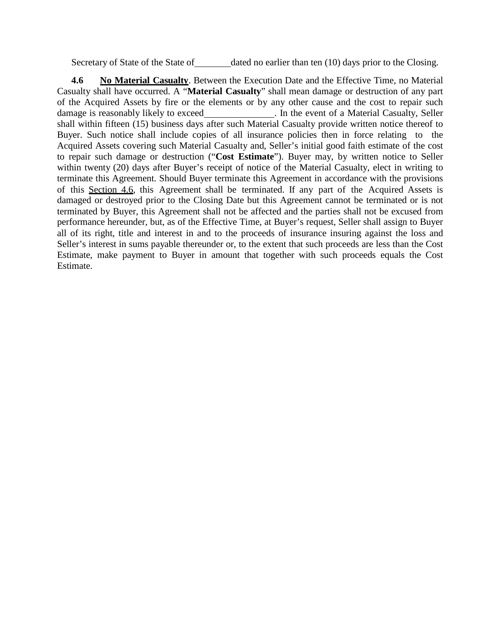Secretary of State of the State of dated no earlier than ten (10) days prior to the Closing.

**4.6 No Material Casualty**. Between the Execution Date and the Effective Time, no Material Casualty shall have occurred. A "**Material Casualty**" shall mean damage or destruction of any part of the Acquired Assets by fire or the elements or by any other cause and the cost to repair such damage is reasonably likely to exceed\_\_\_\_\_\_\_\_\_\_\_\_\_\_\_. In the event of a Material Casualty, Seller shall within fifteen (15) business days after such Material Casualty provide written notice thereof to Buyer. Such notice shall include copies of all insurance policies then in force relating to the Acquired Assets covering such Material Casualty and, Seller's initial good faith estimate of the cost to repair such damage or destruction ("**Cost Estimate**"). Buyer may, by written notice to Seller within twenty (20) days after Buyer's receipt of notice of the Material Casualty, elect in writing to terminate this Agreement. Should Buyer terminate this Agreement in accordance with the provisions of this Section 4.6, this Agreement shall be terminated. If any part of the Acquired Assets is damaged or destroyed prior to the Closing Date but this Agreement cannot be terminated or is not terminated by Buyer, this Agreement shall not be affected and the parties shall not be excused from performance hereunder, but, as of the Effective Time, at Buyer's request, Seller shall assign to Buyer all of its right, title and interest in and to the proceeds of insurance insuring against the loss and Seller's interest in sums payable thereunder or, to the extent that such proceeds are less than the Cost Estimate, make payment to Buyer in amount that together with such proceeds equals the Cost Estimate.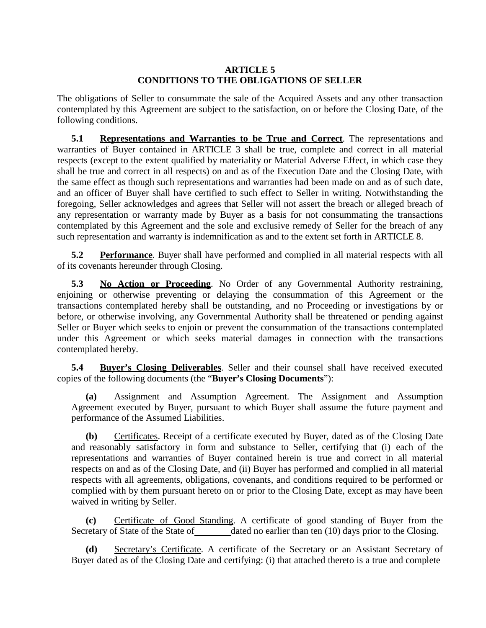#### **ARTICLE 5 CONDITIONS TO THE OBLIGATIONS OF SELLER**

The obligations of Seller to consummate the sale of the Acquired Assets and any other transaction contemplated by this Agreement are subject to the satisfaction, on or before the Closing Date, of the following conditions.

**5.1 Representations and Warranties to be True and Correct**. The representations and warranties of Buyer contained in ARTICLE 3 shall be true, complete and correct in all material respects (except to the extent qualified by materiality or Material Adverse Effect, in which case they shall be true and correct in all respects) on and as of the Execution Date and the Closing Date, with the same effect as though such representations and warranties had been made on and as of such date, and an officer of Buyer shall have certified to such effect to Seller in writing. Notwithstanding the foregoing, Seller acknowledges and agrees that Seller will not assert the breach or alleged breach of any representation or warranty made by Buyer as a basis for not consummating the transactions contemplated by this Agreement and the sole and exclusive remedy of Seller for the breach of any such representation and warranty is indemnification as and to the extent set forth in ARTICLE 8.

**5.2 Performance**. Buyer shall have performed and complied in all material respects with all of its covenants hereunder through Closing.

**5.3 No Action or Proceeding**. No Order of any Governmental Authority restraining, enjoining or otherwise preventing or delaying the consummation of this Agreement or the transactions contemplated hereby shall be outstanding, and no Proceeding or investigations by or before, or otherwise involving, any Governmental Authority shall be threatened or pending against Seller or Buyer which seeks to enjoin or prevent the consummation of the transactions contemplated under this Agreement or which seeks material damages in connection with the transactions contemplated hereby.

**5.4 Buyer's Closing Deliverables**. Seller and their counsel shall have received executed copies of the following documents (the "**Buyer's Closing Documents**"):

**(a)** Assignment and Assumption Agreement. The Assignment and Assumption Agreement executed by Buyer, pursuant to which Buyer shall assume the future payment and performance of the Assumed Liabilities.

**(b)** Certificates. Receipt of a certificate executed by Buyer, dated as of the Closing Date and reasonably satisfactory in form and substance to Seller, certifying that (i) each of the representations and warranties of Buyer contained herein is true and correct in all material respects on and as of the Closing Date, and (ii) Buyer has performed and complied in all material respects with all agreements, obligations, covenants, and conditions required to be performed or complied with by them pursuant hereto on or prior to the Closing Date, except as may have been waived in writing by Seller.

**(c)** Certificate of Good Standing. A certificate of good standing of Buyer from the Secretary of State of the State of dated no earlier than ten (10) days prior to the Closing.

**(d)** Secretary's Certificate. A certificate of the Secretary or an Assistant Secretary of Buyer dated as of the Closing Date and certifying: (i) that attached thereto is a true and complete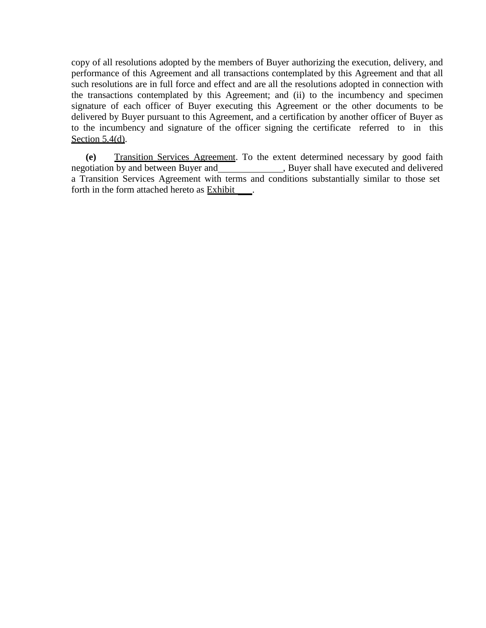copy of all resolutions adopted by the members of Buyer authorizing the execution, delivery, and performance of this Agreement and all transactions contemplated by this Agreement and that all such resolutions are in full force and effect and are all the resolutions adopted in connection with the transactions contemplated by this Agreement; and (ii) to the incumbency and specimen signature of each officer of Buyer executing this Agreement or the other documents to be delivered by Buyer pursuant to this Agreement, and a certification by another officer of Buyer as to the incumbency and signature of the officer signing the certificate referred to in this Section  $5.4(d)$ .

**(e)** Transition Services Agreement. To the extent determined necessary by good faith , Buyer shall have executed and delivered a Transition Services Agreement with terms and conditions substantially similar to those set forth in the form attached hereto as Exhibit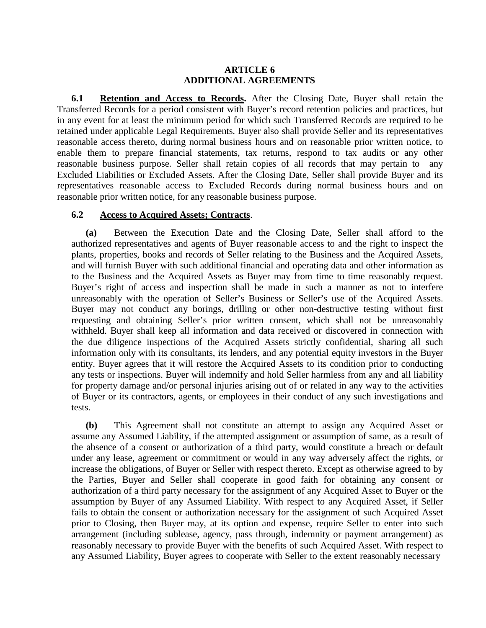#### **ARTICLE 6 ADDITIONAL AGREEMENTS**

**6.1 Retention and Access to Records.** After the Closing Date, Buyer shall retain the Transferred Records for a period consistent with Buyer's record retention policies and practices, but in any event for at least the minimum period for which such Transferred Records are required to be retained under applicable Legal Requirements. Buyer also shall provide Seller and its representatives reasonable access thereto, during normal business hours and on reasonable prior written notice, to enable them to prepare financial statements, tax returns, respond to tax audits or any other reasonable business purpose. Seller shall retain copies of all records that may pertain to any Excluded Liabilities or Excluded Assets. After the Closing Date, Seller shall provide Buyer and its representatives reasonable access to Excluded Records during normal business hours and on reasonable prior written notice, for any reasonable business purpose.

#### **6.2 Access to Acquired Assets; Contracts**.

**(a)** Between the Execution Date and the Closing Date, Seller shall afford to the authorized representatives and agents of Buyer reasonable access to and the right to inspect the plants, properties, books and records of Seller relating to the Business and the Acquired Assets, and will furnish Buyer with such additional financial and operating data and other information as to the Business and the Acquired Assets as Buyer may from time to time reasonably request. Buyer's right of access and inspection shall be made in such a manner as not to interfere unreasonably with the operation of Seller's Business or Seller's use of the Acquired Assets. Buyer may not conduct any borings, drilling or other non-destructive testing without first requesting and obtaining Seller's prior written consent, which shall not be unreasonably withheld. Buyer shall keep all information and data received or discovered in connection with the due diligence inspections of the Acquired Assets strictly confidential, sharing all such information only with its consultants, its lenders, and any potential equity investors in the Buyer entity. Buyer agrees that it will restore the Acquired Assets to its condition prior to conducting any tests or inspections. Buyer will indemnify and hold Seller harmless from any and all liability for property damage and/or personal injuries arising out of or related in any way to the activities of Buyer or its contractors, agents, or employees in their conduct of any such investigations and tests.

**(b)** This Agreement shall not constitute an attempt to assign any Acquired Asset or assume any Assumed Liability, if the attempted assignment or assumption of same, as a result of the absence of a consent or authorization of a third party, would constitute a breach or default under any lease, agreement or commitment or would in any way adversely affect the rights, or increase the obligations, of Buyer or Seller with respect thereto. Except as otherwise agreed to by the Parties, Buyer and Seller shall cooperate in good faith for obtaining any consent or authorization of a third party necessary for the assignment of any Acquired Asset to Buyer or the assumption by Buyer of any Assumed Liability. With respect to any Acquired Asset, if Seller fails to obtain the consent or authorization necessary for the assignment of such Acquired Asset prior to Closing, then Buyer may, at its option and expense, require Seller to enter into such arrangement (including sublease, agency, pass through, indemnity or payment arrangement) as reasonably necessary to provide Buyer with the benefits of such Acquired Asset. With respect to any Assumed Liability, Buyer agrees to cooperate with Seller to the extent reasonably necessary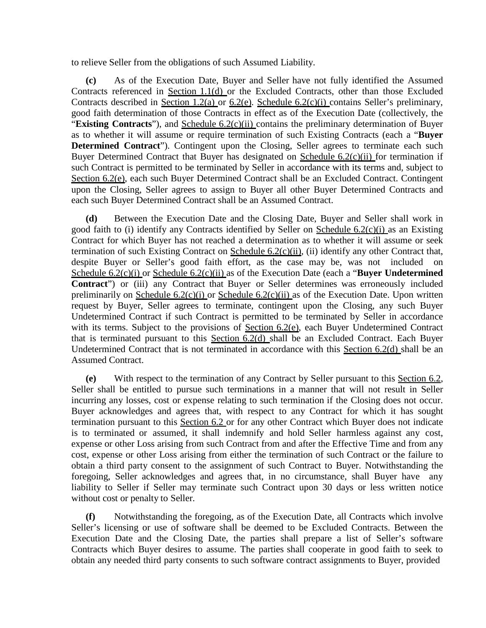to relieve Seller from the obligations of such Assumed Liability.

**(c)** As of the Execution Date, Buyer and Seller have not fully identified the Assumed Contracts referenced in Section 1.1(d) or the Excluded Contracts, other than those Excluded Contracts described in Section 1.2(a) or 6.2(e). Schedule 6.2(c)(i) contains Seller's preliminary, good faith determination of those Contracts in effect as of the Execution Date (collectively, the "**Existing Contracts**"), and Schedule 6.2(c)(ii) contains the preliminary determination of Buyer as to whether it will assume or require termination of such Existing Contracts (each a "**Buyer Determined Contract**"). Contingent upon the Closing, Seller agrees to terminate each such Buyer Determined Contract that Buyer has designated on Schedule 6.2(c)(ii) for termination if such Contract is permitted to be terminated by Seller in accordance with its terms and, subject to Section 6.2(e), each such Buyer Determined Contract shall be an Excluded Contract. Contingent upon the Closing, Seller agrees to assign to Buyer all other Buyer Determined Contracts and each such Buyer Determined Contract shall be an Assumed Contract.

**(d)** Between the Execution Date and the Closing Date, Buyer and Seller shall work in good faith to (i) identify any Contracts identified by Seller on Schedule  $6.2(c)(i)$  as an Existing Contract for which Buyer has not reached a determination as to whether it will assume or seek termination of such Existing Contract on Schedule 6.2(c)(ii), (ii) identify any other Contract that, despite Buyer or Seller's good faith effort, as the case may be, was not included on Schedule 6.2(c)(i) or Schedule 6.2(c)(ii) as of the Execution Date (each a "**Buyer Undetermined Contract**") or (iii) any Contract that Buyer or Seller determines was erroneously included preliminarily on Schedule  $6.2(c)(i)$  or Schedule  $6.2(c)(ii)$  as of the Execution Date. Upon written request by Buyer, Seller agrees to terminate, contingent upon the Closing, any such Buyer Undetermined Contract if such Contract is permitted to be terminated by Seller in accordance with its terms. Subject to the provisions of Section 6.2(e), each Buyer Undetermined Contract that is terminated pursuant to this Section 6.2(d) shall be an Excluded Contract. Each Buyer Undetermined Contract that is not terminated in accordance with this Section 6.2(d) shall be an Assumed Contract.

**(e)** With respect to the termination of any Contract by Seller pursuant to this Section 6.2, Seller shall be entitled to pursue such terminations in a manner that will not result in Seller incurring any losses, cost or expense relating to such termination if the Closing does not occur. Buyer acknowledges and agrees that, with respect to any Contract for which it has sought termination pursuant to this Section 6.2 or for any other Contract which Buyer does not indicate is to terminated or assumed, it shall indemnify and hold Seller harmless against any cost, expense or other Loss arising from such Contract from and after the Effective Time and from any cost, expense or other Loss arising from either the termination of such Contract or the failure to obtain a third party consent to the assignment of such Contract to Buyer. Notwithstanding the foregoing, Seller acknowledges and agrees that, in no circumstance, shall Buyer have any liability to Seller if Seller may terminate such Contract upon 30 days or less written notice without cost or penalty to Seller.

**(f)** Notwithstanding the foregoing, as of the Execution Date, all Contracts which involve Seller's licensing or use of software shall be deemed to be Excluded Contracts. Between the Execution Date and the Closing Date, the parties shall prepare a list of Seller's software Contracts which Buyer desires to assume. The parties shall cooperate in good faith to seek to obtain any needed third party consents to such software contract assignments to Buyer, provided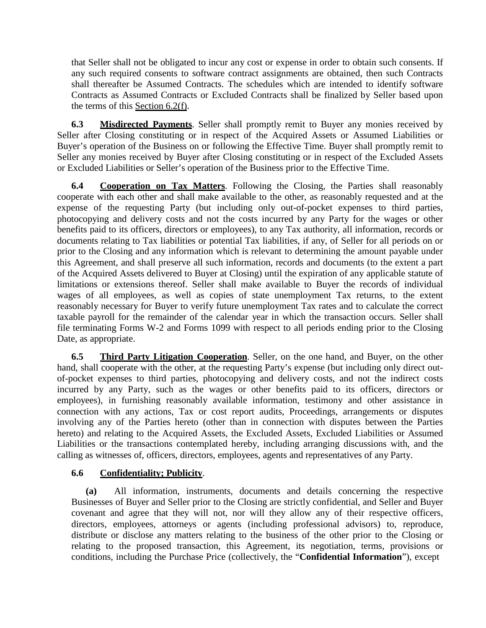that Seller shall not be obligated to incur any cost or expense in order to obtain such consents. If any such required consents to software contract assignments are obtained, then such Contracts shall thereafter be Assumed Contracts. The schedules which are intended to identify software Contracts as Assumed Contracts or Excluded Contracts shall be finalized by Seller based upon the terms of this Section 6.2(f).

**6.3 Misdirected Payments**. Seller shall promptly remit to Buyer any monies received by Seller after Closing constituting or in respect of the Acquired Assets or Assumed Liabilities or Buyer's operation of the Business on or following the Effective Time. Buyer shall promptly remit to Seller any monies received by Buyer after Closing constituting or in respect of the Excluded Assets or Excluded Liabilities or Seller's operation of the Business prior to the Effective Time.

**6.4 Cooperation on Tax Matters**. Following the Closing, the Parties shall reasonably cooperate with each other and shall make available to the other, as reasonably requested and at the expense of the requesting Party (but including only out-of-pocket expenses to third parties, photocopying and delivery costs and not the costs incurred by any Party for the wages or other benefits paid to its officers, directors or employees), to any Tax authority, all information, records or documents relating to Tax liabilities or potential Tax liabilities, if any, of Seller for all periods on or prior to the Closing and any information which is relevant to determining the amount payable under this Agreement, and shall preserve all such information, records and documents (to the extent a part of the Acquired Assets delivered to Buyer at Closing) until the expiration of any applicable statute of limitations or extensions thereof. Seller shall make available to Buyer the records of individual wages of all employees, as well as copies of state unemployment Tax returns, to the extent reasonably necessary for Buyer to verify future unemployment Tax rates and to calculate the correct taxable payroll for the remainder of the calendar year in which the transaction occurs. Seller shall file terminating Forms W-2 and Forms 1099 with respect to all periods ending prior to the Closing Date, as appropriate.

**6.5 Third Party Litigation Cooperation**. Seller, on the one hand, and Buyer, on the other hand, shall cooperate with the other, at the requesting Party's expense (but including only direct outof-pocket expenses to third parties, photocopying and delivery costs, and not the indirect costs incurred by any Party, such as the wages or other benefits paid to its officers, directors or employees), in furnishing reasonably available information, testimony and other assistance in connection with any actions, Tax or cost report audits, Proceedings, arrangements or disputes involving any of the Parties hereto (other than in connection with disputes between the Parties hereto) and relating to the Acquired Assets, the Excluded Assets, Excluded Liabilities or Assumed Liabilities or the transactions contemplated hereby, including arranging discussions with, and the calling as witnesses of, officers, directors, employees, agents and representatives of any Party.

# **6.6 Confidentiality; Publicity**.

**(a)** All information, instruments, documents and details concerning the respective Businesses of Buyer and Seller prior to the Closing are strictly confidential, and Seller and Buyer covenant and agree that they will not, nor will they allow any of their respective officers, directors, employees, attorneys or agents (including professional advisors) to, reproduce, distribute or disclose any matters relating to the business of the other prior to the Closing or relating to the proposed transaction, this Agreement, its negotiation, terms, provisions or conditions, including the Purchase Price (collectively, the "**Confidential Information**"), except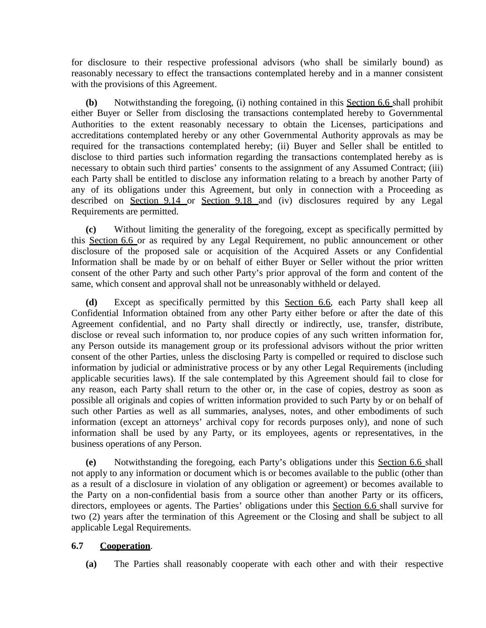for disclosure to their respective professional advisors (who shall be similarly bound) as reasonably necessary to effect the transactions contemplated hereby and in a manner consistent with the provisions of this Agreement.

**(b)** Notwithstanding the foregoing, (i) nothing contained in this Section 6.6 shall prohibit either Buyer or Seller from disclosing the transactions contemplated hereby to Governmental Authorities to the extent reasonably necessary to obtain the Licenses, participations and accreditations contemplated hereby or any other Governmental Authority approvals as may be required for the transactions contemplated hereby; (ii) Buyer and Seller shall be entitled to disclose to third parties such information regarding the transactions contemplated hereby as is necessary to obtain such third parties' consents to the assignment of any Assumed Contract; (iii) each Party shall be entitled to disclose any information relating to a breach by another Party of any of its obligations under this Agreement, but only in connection with a Proceeding as described on Section 9.14 or Section 9.18 and (iv) disclosures required by any Legal Requirements are permitted.

**(c)** Without limiting the generality of the foregoing, except as specifically permitted by this Section 6.6 or as required by any Legal Requirement, no public announcement or other disclosure of the proposed sale or acquisition of the Acquired Assets or any Confidential Information shall be made by or on behalf of either Buyer or Seller without the prior written consent of the other Party and such other Party's prior approval of the form and content of the same, which consent and approval shall not be unreasonably withheld or delayed.

**(d)** Except as specifically permitted by this Section 6.6, each Party shall keep all Confidential Information obtained from any other Party either before or after the date of this Agreement confidential, and no Party shall directly or indirectly, use, transfer, distribute, disclose or reveal such information to, nor produce copies of any such written information for, any Person outside its management group or its professional advisors without the prior written consent of the other Parties, unless the disclosing Party is compelled or required to disclose such information by judicial or administrative process or by any other Legal Requirements (including applicable securities laws). If the sale contemplated by this Agreement should fail to close for any reason, each Party shall return to the other or, in the case of copies, destroy as soon as possible all originals and copies of written information provided to such Party by or on behalf of such other Parties as well as all summaries, analyses, notes, and other embodiments of such information (except an attorneys' archival copy for records purposes only), and none of such information shall be used by any Party, or its employees, agents or representatives, in the business operations of any Person.

**(e)** Notwithstanding the foregoing, each Party's obligations under this Section 6.6 shall not apply to any information or document which is or becomes available to the public (other than as a result of a disclosure in violation of any obligation or agreement) or becomes available to the Party on a non-confidential basis from a source other than another Party or its officers, directors, employees or agents. The Parties' obligations under this Section 6.6 shall survive for two (2) years after the termination of this Agreement or the Closing and shall be subject to all applicable Legal Requirements.

# **6.7 Cooperation**.

**(a)** The Parties shall reasonably cooperate with each other and with their respective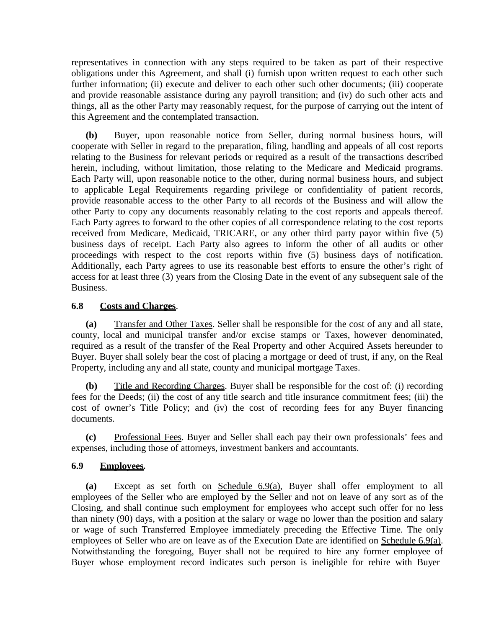representatives in connection with any steps required to be taken as part of their respective obligations under this Agreement, and shall (i) furnish upon written request to each other such further information; (ii) execute and deliver to each other such other documents; (iii) cooperate and provide reasonable assistance during any payroll transition; and (iv) do such other acts and things, all as the other Party may reasonably request, for the purpose of carrying out the intent of this Agreement and the contemplated transaction.

**(b)** Buyer, upon reasonable notice from Seller, during normal business hours, will cooperate with Seller in regard to the preparation, filing, handling and appeals of all cost reports relating to the Business for relevant periods or required as a result of the transactions described herein, including, without limitation, those relating to the Medicare and Medicaid programs. Each Party will, upon reasonable notice to the other, during normal business hours, and subject to applicable Legal Requirements regarding privilege or confidentiality of patient records, provide reasonable access to the other Party to all records of the Business and will allow the other Party to copy any documents reasonably relating to the cost reports and appeals thereof. Each Party agrees to forward to the other copies of all correspondence relating to the cost reports received from Medicare, Medicaid, TRICARE, or any other third party payor within five (5) business days of receipt. Each Party also agrees to inform the other of all audits or other proceedings with respect to the cost reports within five (5) business days of notification. Additionally, each Party agrees to use its reasonable best efforts to ensure the other's right of access for at least three (3) years from the Closing Date in the event of any subsequent sale of the Business.

# **6.8 Costs and Charges**.

**(a)** Transfer and Other Taxes. Seller shall be responsible for the cost of any and all state, county, local and municipal transfer and/or excise stamps or Taxes, however denominated, required as a result of the transfer of the Real Property and other Acquired Assets hereunder to Buyer. Buyer shall solely bear the cost of placing a mortgage or deed of trust, if any, on the Real Property, including any and all state, county and municipal mortgage Taxes.

**(b)** Title and Recording Charges. Buyer shall be responsible for the cost of: (i) recording fees for the Deeds; (ii) the cost of any title search and title insurance commitment fees; (iii) the cost of owner's Title Policy; and (iv) the cost of recording fees for any Buyer financing documents.

**(c)** Professional Fees. Buyer and Seller shall each pay their own professionals' fees and expenses, including those of attorneys, investment bankers and accountants.

# **6.9 Employees***.*

**(a)** Except as set forth on Schedule 6.9(a), Buyer shall offer employment to all employees of the Seller who are employed by the Seller and not on leave of any sort as of the Closing, and shall continue such employment for employees who accept such offer for no less than ninety (90) days, with a position at the salary or wage no lower than the position and salary or wage of such Transferred Employee immediately preceding the Effective Time. The only employees of Seller who are on leave as of the Execution Date are identified on Schedule 6.9(a). Notwithstanding the foregoing, Buyer shall not be required to hire any former employee of Buyer whose employment record indicates such person is ineligible for rehire with Buyer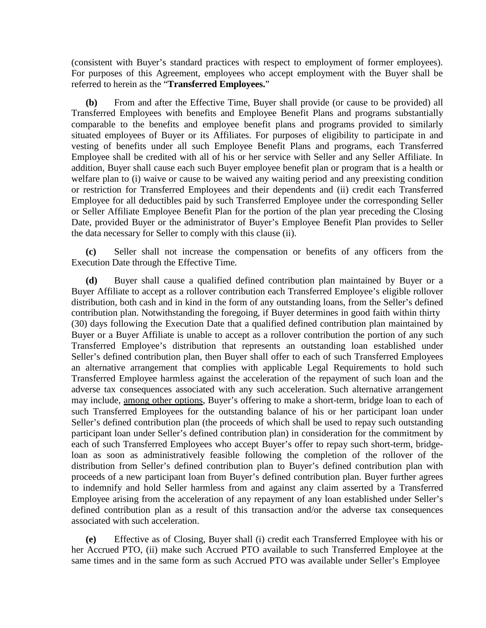(consistent with Buyer's standard practices with respect to employment of former employees). For purposes of this Agreement, employees who accept employment with the Buyer shall be referred to herein as the "**Transferred Employees.**"

**(b)** From and after the Effective Time, Buyer shall provide (or cause to be provided) all Transferred Employees with benefits and Employee Benefit Plans and programs substantially comparable to the benefits and employee benefit plans and programs provided to similarly situated employees of Buyer or its Affiliates. For purposes of eligibility to participate in and vesting of benefits under all such Employee Benefit Plans and programs, each Transferred Employee shall be credited with all of his or her service with Seller and any Seller Affiliate. In addition, Buyer shall cause each such Buyer employee benefit plan or program that is a health or welfare plan to (i) waive or cause to be waived any waiting period and any preexisting condition or restriction for Transferred Employees and their dependents and (ii) credit each Transferred Employee for all deductibles paid by such Transferred Employee under the corresponding Seller or Seller Affiliate Employee Benefit Plan for the portion of the plan year preceding the Closing Date, provided Buyer or the administrator of Buyer's Employee Benefit Plan provides to Seller the data necessary for Seller to comply with this clause (ii).

**(c)** Seller shall not increase the compensation or benefits of any officers from the Execution Date through the Effective Time.

**(d)** Buyer shall cause a qualified defined contribution plan maintained by Buyer or a Buyer Affiliate to accept as a rollover contribution each Transferred Employee's eligible rollover distribution, both cash and in kind in the form of any outstanding loans, from the Seller's defined contribution plan. Notwithstanding the foregoing, if Buyer determines in good faith within thirty (30) days following the Execution Date that a qualified defined contribution plan maintained by Buyer or a Buyer Affiliate is unable to accept as a rollover contribution the portion of any such Transferred Employee's distribution that represents an outstanding loan established under Seller's defined contribution plan, then Buyer shall offer to each of such Transferred Employees an alternative arrangement that complies with applicable Legal Requirements to hold such Transferred Employee harmless against the acceleration of the repayment of such loan and the adverse tax consequences associated with any such acceleration. Such alternative arrangement may include, among other options, Buyer's offering to make a short-term, bridge loan to each of such Transferred Employees for the outstanding balance of his or her participant loan under Seller's defined contribution plan (the proceeds of which shall be used to repay such outstanding participant loan under Seller's defined contribution plan) in consideration for the commitment by each of such Transferred Employees who accept Buyer's offer to repay such short-term, bridgeloan as soon as administratively feasible following the completion of the rollover of the distribution from Seller's defined contribution plan to Buyer's defined contribution plan with proceeds of a new participant loan from Buyer's defined contribution plan. Buyer further agrees to indemnify and hold Seller harmless from and against any claim asserted by a Transferred Employee arising from the acceleration of any repayment of any loan established under Seller's defined contribution plan as a result of this transaction and/or the adverse tax consequences associated with such acceleration.

**(e)** Effective as of Closing, Buyer shall (i) credit each Transferred Employee with his or her Accrued PTO, (ii) make such Accrued PTO available to such Transferred Employee at the same times and in the same form as such Accrued PTO was available under Seller's Employee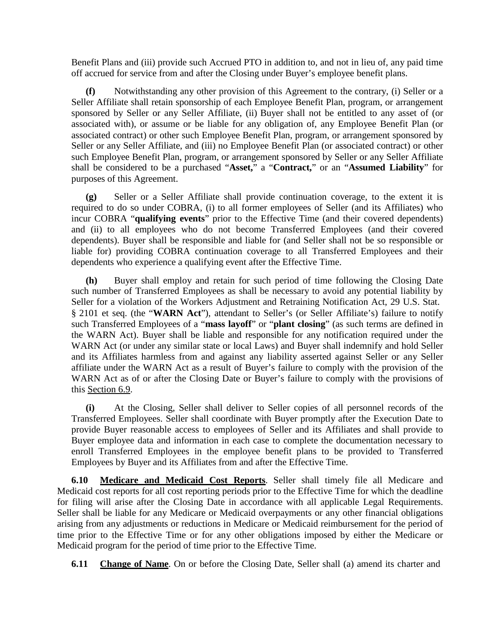Benefit Plans and (iii) provide such Accrued PTO in addition to, and not in lieu of, any paid time off accrued for service from and after the Closing under Buyer's employee benefit plans.

**(f)** Notwithstanding any other provision of this Agreement to the contrary, (i) Seller or a Seller Affiliate shall retain sponsorship of each Employee Benefit Plan, program, or arrangement sponsored by Seller or any Seller Affiliate, (ii) Buyer shall not be entitled to any asset of (or associated with), or assume or be liable for any obligation of, any Employee Benefit Plan (or associated contract) or other such Employee Benefit Plan, program, or arrangement sponsored by Seller or any Seller Affiliate, and (iii) no Employee Benefit Plan (or associated contract) or other such Employee Benefit Plan, program, or arrangement sponsored by Seller or any Seller Affiliate shall be considered to be a purchased "**Asset,**" a "**Contract,**" or an "**Assumed Liability**" for purposes of this Agreement.

**(g)** Seller or a Seller Affiliate shall provide continuation coverage, to the extent it is required to do so under COBRA, (i) to all former employees of Seller (and its Affiliates) who incur COBRA "**qualifying events**" prior to the Effective Time (and their covered dependents) and (ii) to all employees who do not become Transferred Employees (and their covered dependents). Buyer shall be responsible and liable for (and Seller shall not be so responsible or liable for) providing COBRA continuation coverage to all Transferred Employees and their dependents who experience a qualifying event after the Effective Time.

**(h)** Buyer shall employ and retain for such period of time following the Closing Date such number of Transferred Employees as shall be necessary to avoid any potential liability by Seller for a violation of the Workers Adjustment and Retraining Notification Act, 29 U.S. Stat. § 2101 et seq. (the "**WARN Act**"), attendant to Seller's (or Seller Affiliate's) failure to notify such Transferred Employees of a "**mass layoff**" or "**plant closing**" (as such terms are defined in the WARN Act). Buyer shall be liable and responsible for any notification required under the WARN Act (or under any similar state or local Laws) and Buyer shall indemnify and hold Seller and its Affiliates harmless from and against any liability asserted against Seller or any Seller affiliate under the WARN Act as a result of Buyer's failure to comply with the provision of the WARN Act as of or after the Closing Date or Buyer's failure to comply with the provisions of this Section 6.9.

**(i)** At the Closing, Seller shall deliver to Seller copies of all personnel records of the Transferred Employees. Seller shall coordinate with Buyer promptly after the Execution Date to provide Buyer reasonable access to employees of Seller and its Affiliates and shall provide to Buyer employee data and information in each case to complete the documentation necessary to enroll Transferred Employees in the employee benefit plans to be provided to Transferred Employees by Buyer and its Affiliates from and after the Effective Time.

**6.10 Medicare and Medicaid Cost Reports**. Seller shall timely file all Medicare and Medicaid cost reports for all cost reporting periods prior to the Effective Time for which the deadline for filing will arise after the Closing Date in accordance with all applicable Legal Requirements. Seller shall be liable for any Medicare or Medicaid overpayments or any other financial obligations arising from any adjustments or reductions in Medicare or Medicaid reimbursement for the period of time prior to the Effective Time or for any other obligations imposed by either the Medicare or Medicaid program for the period of time prior to the Effective Time.

**6.11 Change of Name**. On or before the Closing Date, Seller shall (a) amend its charter and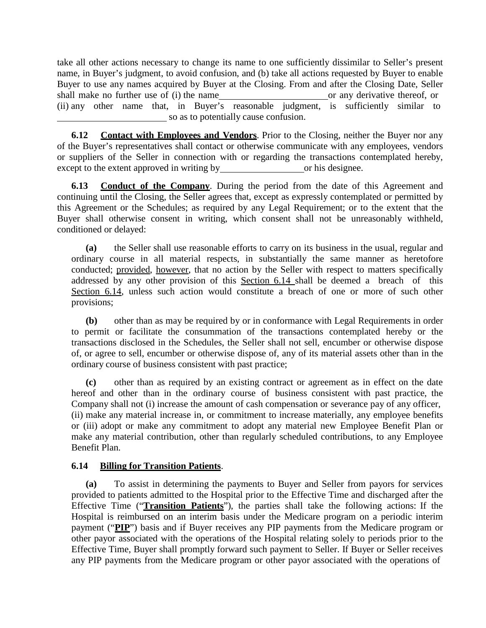take all other actions necessary to change its name to one sufficiently dissimilar to Seller's present name, in Buyer's judgment, to avoid confusion, and (b) take all actions requested by Buyer to enable Buyer to use any names acquired by Buyer at the Closing. From and after the Closing Date, Seller shall make no further use of (i) the name or any derivative thereof, or (ii) any other name that, in Buyer's reasonable judgment, is sufficiently similar to so as to potentially cause confusion.

**6.12 Contact with Employees and Vendors**. Prior to the Closing, neither the Buyer nor any of the Buyer's representatives shall contact or otherwise communicate with any employees, vendors or suppliers of the Seller in connection with or regarding the transactions contemplated hereby, except to the extent approved in writing by or his designee.

**6.13 Conduct of the Company**. During the period from the date of this Agreement and continuing until the Closing, the Seller agrees that, except as expressly contemplated or permitted by this Agreement or the Schedules; as required by any Legal Requirement; or to the extent that the Buyer shall otherwise consent in writing, which consent shall not be unreasonably withheld, conditioned or delayed:

**(a)** the Seller shall use reasonable efforts to carry on its business in the usual, regular and ordinary course in all material respects, in substantially the same manner as heretofore conducted; provided, however, that no action by the Seller with respect to matters specifically addressed by any other provision of this Section 6.14 shall be deemed a breach of this Section 6.14, unless such action would constitute a breach of one or more of such other provisions;

**(b)** other than as may be required by or in conformance with Legal Requirements in order to permit or facilitate the consummation of the transactions contemplated hereby or the transactions disclosed in the Schedules, the Seller shall not sell, encumber or otherwise dispose of, or agree to sell, encumber or otherwise dispose of, any of its material assets other than in the ordinary course of business consistent with past practice;

**(c)** other than as required by an existing contract or agreement as in effect on the date hereof and other than in the ordinary course of business consistent with past practice, the Company shall not (i) increase the amount of cash compensation or severance pay of any officer, (ii) make any material increase in, or commitment to increase materially, any employee benefits or (iii) adopt or make any commitment to adopt any material new Employee Benefit Plan or make any material contribution, other than regularly scheduled contributions, to any Employee Benefit Plan.

#### **6.14 Billing for Transition Patients**.

**(a)** To assist in determining the payments to Buyer and Seller from payors for services provided to patients admitted to the Hospital prior to the Effective Time and discharged after the Effective Time ("**Transition Patients**"), the parties shall take the following actions: If the Hospital is reimbursed on an interim basis under the Medicare program on a periodic interim payment ("**PIP**") basis and if Buyer receives any PIP payments from the Medicare program or other payor associated with the operations of the Hospital relating solely to periods prior to the Effective Time, Buyer shall promptly forward such payment to Seller. If Buyer or Seller receives any PIP payments from the Medicare program or other payor associated with the operations of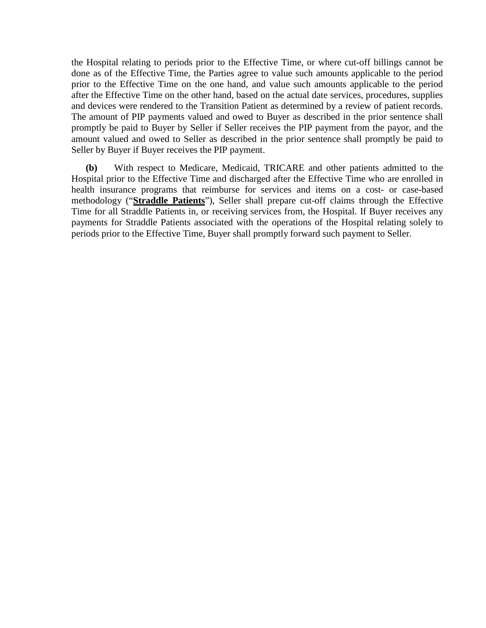the Hospital relating to periods prior to the Effective Time, or where cut-off billings cannot be done as of the Effective Time, the Parties agree to value such amounts applicable to the period prior to the Effective Time on the one hand, and value such amounts applicable to the period after the Effective Time on the other hand, based on the actual date services, procedures, supplies and devices were rendered to the Transition Patient as determined by a review of patient records. The amount of PIP payments valued and owed to Buyer as described in the prior sentence shall promptly be paid to Buyer by Seller if Seller receives the PIP payment from the payor, and the amount valued and owed to Seller as described in the prior sentence shall promptly be paid to Seller by Buyer if Buyer receives the PIP payment.

**(b)** With respect to Medicare, Medicaid, TRICARE and other patients admitted to the Hospital prior to the Effective Time and discharged after the Effective Time who are enrolled in health insurance programs that reimburse for services and items on a cost- or case-based methodology ("**Straddle Patients**"), Seller shall prepare cut-off claims through the Effective Time for all Straddle Patients in, or receiving services from, the Hospital. If Buyer receives any payments for Straddle Patients associated with the operations of the Hospital relating solely to periods prior to the Effective Time, Buyer shall promptly forward such payment to Seller.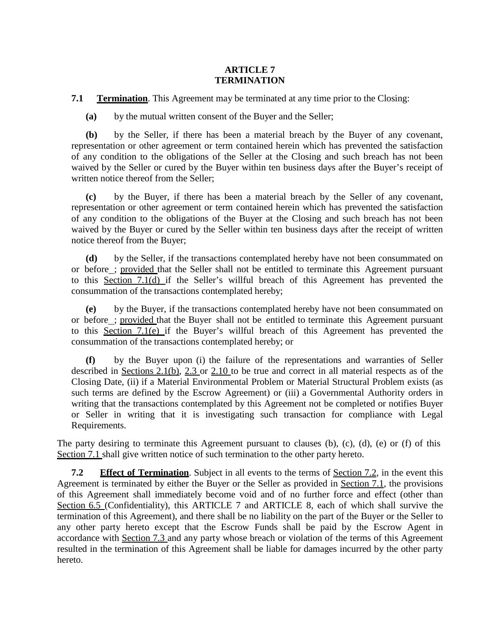#### **ARTICLE 7 TERMINATION**

**7.1 Termination**. This Agreement may be terminated at any time prior to the Closing:

**(a)** by the mutual written consent of the Buyer and the Seller;

**(b)** by the Seller, if there has been a material breach by the Buyer of any covenant, representation or other agreement or term contained herein which has prevented the satisfaction of any condition to the obligations of the Seller at the Closing and such breach has not been waived by the Seller or cured by the Buyer within ten business days after the Buyer's receipt of written notice thereof from the Seller;

**(c)** by the Buyer, if there has been a material breach by the Seller of any covenant, representation or other agreement or term contained herein which has prevented the satisfaction of any condition to the obligations of the Buyer at the Closing and such breach has not been waived by the Buyer or cured by the Seller within ten business days after the receipt of written notice thereof from the Buyer;

**(d)** by the Seller, if the transactions contemplated hereby have not been consummated on or before ; provided that the Seller shall not be entitled to terminate this Agreement pursuant to this Section 7.1(d) if the Seller's willful breach of this Agreement has prevented the consummation of the transactions contemplated hereby;

**(e)** by the Buyer, if the transactions contemplated hereby have not been consummated on or before ; provided that the Buyer shall not be entitled to terminate this Agreement pursuant to this Section 7.1(e) if the Buyer's willful breach of this Agreement has prevented the consummation of the transactions contemplated hereby; or

**(f)** by the Buyer upon (i) the failure of the representations and warranties of Seller described in Sections 2.1(b), 2.3 or 2.10 to be true and correct in all material respects as of the Closing Date, (ii) if a Material Environmental Problem or Material Structural Problem exists (as such terms are defined by the Escrow Agreement) or (iii) a Governmental Authority orders in writing that the transactions contemplated by this Agreement not be completed or notifies Buyer or Seller in writing that it is investigating such transaction for compliance with Legal Requirements.

The party desiring to terminate this Agreement pursuant to clauses (b), (c), (d), (e) or (f) of this Section 7.1 shall give written notice of such termination to the other party hereto.

**7.2 Effect of Termination**. Subject in all events to the terms of <u>Section 7.2</u>, in the event this Agreement is terminated by either the Buyer or the Seller as provided in Section 7.1, the provisions of this Agreement shall immediately become void and of no further force and effect (other than Section 6.5 (Confidentiality), this ARTICLE 7 and ARTICLE 8, each of which shall survive the termination of this Agreement), and there shall be no liability on the part of the Buyer or the Seller to any other party hereto except that the Escrow Funds shall be paid by the Escrow Agent in accordance with Section 7.3 and any party whose breach or violation of the terms of this Agreement resulted in the termination of this Agreement shall be liable for damages incurred by the other party hereto.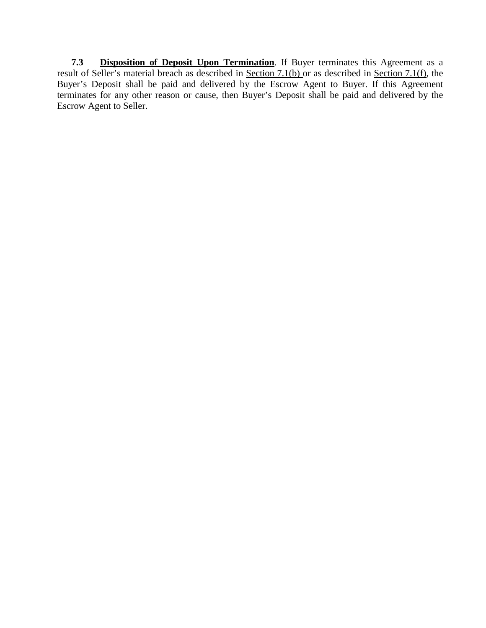**7.3 Disposition of Deposit Upon Termination**. If Buyer terminates this Agreement as a result of Seller's material breach as described in Section 7.1(b) or as described in Section 7.1(f), the Buyer's Deposit shall be paid and delivered by the Escrow Agent to Buyer. If this Agreement terminates for any other reason or cause, then Buyer's Deposit shall be paid and delivered by the Escrow Agent to Seller.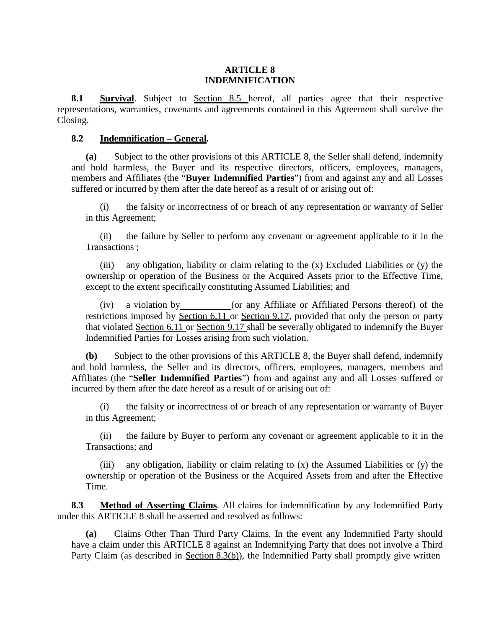#### **ARTICLE 8 INDEMNIFICATION**

**8.1 Survival**. Subject to Section 8.5 hereof, all parties agree that their respective representations, warranties, covenants and agreements contained in this Agreement shall survive the Closing.

#### **8.2 Indemnification – General***.*

**(a)** Subject to the other provisions of this ARTICLE 8, the Seller shall defend, indemnify and hold harmless, the Buyer and its respective directors, officers, employees, managers, members and Affiliates (the "**Buyer Indemnified Parties**") from and against any and all Losses suffered or incurred by them after the date hereof as a result of or arising out of:

(i) the falsity or incorrectness of or breach of any representation or warranty of Seller in this Agreement;

(ii) the failure by Seller to perform any covenant or agreement applicable to it in the Transactions ;

(iii) any obligation, liability or claim relating to the  $(x)$  Excluded Liabilities or  $(y)$  the ownership or operation of the Business or the Acquired Assets prior to the Effective Time, except to the extent specifically constituting Assumed Liabilities; and

(iv) a violation by (or any Affiliate or Affiliated Persons thereof) of the restrictions imposed by Section 6.11 or Section 9.17, provided that only the person or party that violated Section 6.11 or Section 9.17 shall be severally obligated to indemnify the Buyer Indemnified Parties for Losses arising from such violation.

**(b)** Subject to the other provisions of this ARTICLE 8, the Buyer shall defend, indemnify and hold harmless, the Seller and its directors, officers, employees, managers, members and Affiliates (the "**Seller Indemnified Parties**") from and against any and all Losses suffered or incurred by them after the date hereof as a result of or arising out of:

(i) the falsity or incorrectness of or breach of any representation or warranty of Buyer in this Agreement;

(ii) the failure by Buyer to perform any covenant or agreement applicable to it in the Transactions; and

(iii) any obligation, liability or claim relating to  $(x)$  the Assumed Liabilities or  $(y)$  the ownership or operation of the Business or the Acquired Assets from and after the Effective Time.

**8.3 Method of Asserting Claims**. All claims for indemnification by any Indemnified Party under this ARTICLE 8 shall be asserted and resolved as follows:

**(a)** Claims Other Than Third Party Claims. In the event any Indemnified Party should have a claim under this ARTICLE 8 against an Indemnifying Party that does not involve a Third Party Claim (as described in Section 8.3(b)), the Indemnified Party shall promptly give written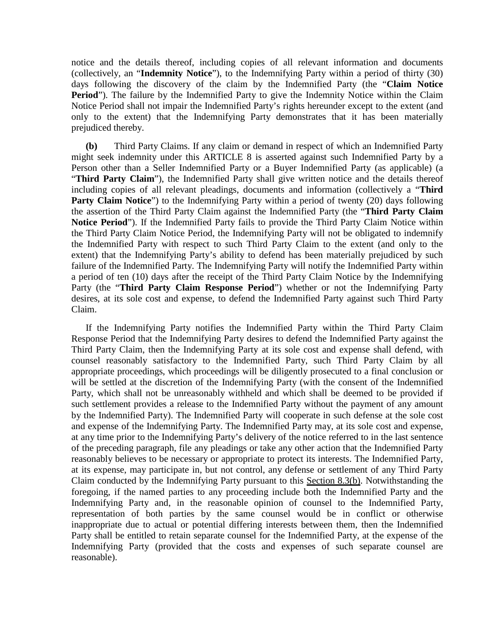notice and the details thereof, including copies of all relevant information and documents (collectively, an "**Indemnity Notice**"), to the Indemnifying Party within a period of thirty (30) days following the discovery of the claim by the Indemnified Party (the "**Claim Notice Period**"). The failure by the Indemnified Party to give the Indemnity Notice within the Claim Notice Period shall not impair the Indemnified Party's rights hereunder except to the extent (and only to the extent) that the Indemnifying Party demonstrates that it has been materially prejudiced thereby.

**(b)** Third Party Claims. If any claim or demand in respect of which an Indemnified Party might seek indemnity under this ARTICLE 8 is asserted against such Indemnified Party by a Person other than a Seller Indemnified Party or a Buyer Indemnified Party (as applicable) (a "**Third Party Claim**"), the Indemnified Party shall give written notice and the details thereof including copies of all relevant pleadings, documents and information (collectively a "**Third Party Claim Notice**") to the Indemnifying Party within a period of twenty (20) days following the assertion of the Third Party Claim against the Indemnified Party (the "**Third Party Claim Notice Period**"). If the Indemnified Party fails to provide the Third Party Claim Notice within the Third Party Claim Notice Period, the Indemnifying Party will not be obligated to indemnify the Indemnified Party with respect to such Third Party Claim to the extent (and only to the extent) that the Indemnifying Party's ability to defend has been materially prejudiced by such failure of the Indemnified Party. The Indemnifying Party will notify the Indemnified Party within a period of ten (10) days after the receipt of the Third Party Claim Notice by the Indemnifying Party (the "**Third Party Claim Response Period**") whether or not the Indemnifying Party desires, at its sole cost and expense, to defend the Indemnified Party against such Third Party Claim.

If the Indemnifying Party notifies the Indemnified Party within the Third Party Claim Response Period that the Indemnifying Party desires to defend the Indemnified Party against the Third Party Claim, then the Indemnifying Party at its sole cost and expense shall defend, with counsel reasonably satisfactory to the Indemnified Party, such Third Party Claim by all appropriate proceedings, which proceedings will be diligently prosecuted to a final conclusion or will be settled at the discretion of the Indemnifying Party (with the consent of the Indemnified Party, which shall not be unreasonably withheld and which shall be deemed to be provided if such settlement provides a release to the Indemnified Party without the payment of any amount by the Indemnified Party). The Indemnified Party will cooperate in such defense at the sole cost and expense of the Indemnifying Party. The Indemnified Party may, at its sole cost and expense, at any time prior to the Indemnifying Party's delivery of the notice referred to in the last sentence of the preceding paragraph, file any pleadings or take any other action that the Indemnified Party reasonably believes to be necessary or appropriate to protect its interests. The Indemnified Party, at its expense, may participate in, but not control, any defense or settlement of any Third Party Claim conducted by the Indemnifying Party pursuant to this Section 8.3(b). Notwithstanding the foregoing, if the named parties to any proceeding include both the Indemnified Party and the Indemnifying Party and, in the reasonable opinion of counsel to the Indemnified Party, representation of both parties by the same counsel would be in conflict or otherwise inappropriate due to actual or potential differing interests between them, then the Indemnified Party shall be entitled to retain separate counsel for the Indemnified Party, at the expense of the Indemnifying Party (provided that the costs and expenses of such separate counsel are reasonable).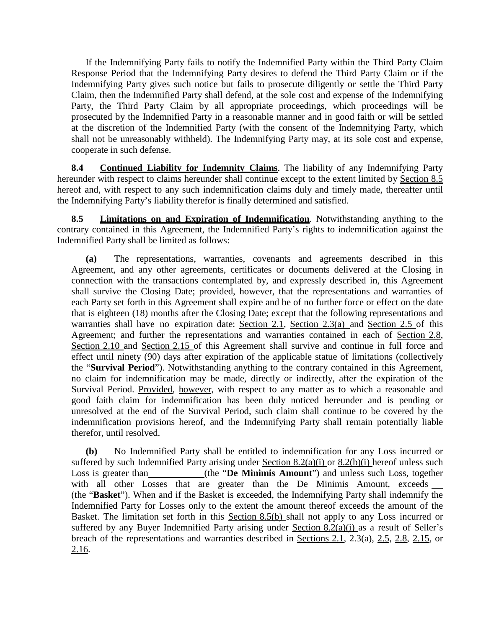If the Indemnifying Party fails to notify the Indemnified Party within the Third Party Claim Response Period that the Indemnifying Party desires to defend the Third Party Claim or if the Indemnifying Party gives such notice but fails to prosecute diligently or settle the Third Party Claim, then the Indemnified Party shall defend, at the sole cost and expense of the Indemnifying Party, the Third Party Claim by all appropriate proceedings, which proceedings will be prosecuted by the Indemnified Party in a reasonable manner and in good faith or will be settled at the discretion of the Indemnified Party (with the consent of the Indemnifying Party, which shall not be unreasonably withheld). The Indemnifying Party may, at its sole cost and expense, cooperate in such defense.

**8.4 Continued Liability for Indemnity Claims**. The liability of any Indemnifying Party hereunder with respect to claims hereunder shall continue except to the extent limited by Section 8.5 hereof and, with respect to any such indemnification claims duly and timely made, thereafter until the Indemnifying Party's liability therefor is finally determined and satisfied.

**8.5 Limitations on and Expiration of Indemnification**. Notwithstanding anything to the contrary contained in this Agreement, the Indemnified Party's rights to indemnification against the Indemnified Party shall be limited as follows:

**(a)** The representations, warranties, covenants and agreements described in this Agreement, and any other agreements, certificates or documents delivered at the Closing in connection with the transactions contemplated by, and expressly described in, this Agreement shall survive the Closing Date; provided, however, that the representations and warranties of each Party set forth in this Agreement shall expire and be of no further force or effect on the date that is eighteen (18) months after the Closing Date; except that the following representations and warranties shall have no expiration date: Section 2.1, Section 2.3(a) and Section 2.5 of this Agreement; and further the representations and warranties contained in each of Section 2.8, Section 2.10 and Section 2.15 of this Agreement shall survive and continue in full force and effect until ninety (90) days after expiration of the applicable statue of limitations (collectively the "**Survival Period**"). Notwithstanding anything to the contrary contained in this Agreement, no claim for indemnification may be made, directly or indirectly, after the expiration of the Survival Period. Provided, however, with respect to any matter as to which a reasonable and good faith claim for indemnification has been duly noticed hereunder and is pending or unresolved at the end of the Survival Period, such claim shall continue to be covered by the indemnification provisions hereof, and the Indemnifying Party shall remain potentially liable therefor, until resolved.

**(b)** No Indemnified Party shall be entitled to indemnification for any Loss incurred or suffered by such Indemnified Party arising under Section  $8.2(a)(i)$  or  $8.2(b)(i)$  hereof unless such Loss is greater than (the "**De Minimis Amount**") and unless such Loss, together with all other Losses that are greater than the De Minimis Amount, exceeds (the "**Basket**"). When and if the Basket is exceeded, the Indemnifying Party shall indemnify the Indemnified Party for Losses only to the extent the amount thereof exceeds the amount of the Basket. The limitation set forth in this Section 8.5(b) shall not apply to any Loss incurred or suffered by any Buyer Indemnified Party arising under Section 8.2(a)(i) as a result of Seller's breach of the representations and warranties described in Sections 2.1, 2.3(a), 2.5, 2.8, 2.15, or 2.16.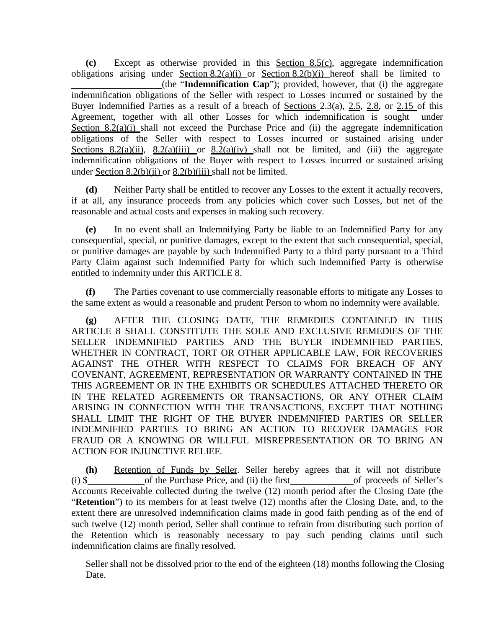**(c)** Except as otherwise provided in this Section 8.5(c), aggregate indemnification obligations arising under Section  $8.2(a)(i)$  or Section  $8.2(b)(i)$  hereof shall be limited to (the "**Indemnification Cap**"); provided, however, that (i) the aggregate indemnification obligations of the Seller with respect to Losses incurred or sustained by the Buyer Indemnified Parties as a result of a breach of <u>Sections 2.3(a), 2.5, 2.8</u>, or 2.15 of this Agreement, together with all other Losses for which indemnification is sought under Section 8.2(a)(i) shall not exceed the Purchase Price and (ii) the aggregate indemnification obligations of the Seller with respect to Losses incurred or sustained arising under Sections 8.2(a)(ii),  $8.2(a)$ (iii) or  $8.2(a)$ (iv) shall not be limited, and (iii) the aggregate indemnification obligations of the Buyer with respect to Losses incurred or sustained arising under Section 8.2(b)(ii) or 8.2(b)(iii) shall not be limited.

**(d)** Neither Party shall be entitled to recover any Losses to the extent it actually recovers, if at all, any insurance proceeds from any policies which cover such Losses, but net of the reasonable and actual costs and expenses in making such recovery.

**(e)** In no event shall an Indemnifying Party be liable to an Indemnified Party for any consequential, special, or punitive damages, except to the extent that such consequential, special, or punitive damages are payable by such Indemnified Party to a third party pursuant to a Third Party Claim against such Indemnified Party for which such Indemnified Party is otherwise entitled to indemnity under this ARTICLE 8.

**(f)** The Parties covenant to use commercially reasonable efforts to mitigate any Losses to the same extent as would a reasonable and prudent Person to whom no indemnity were available.

**(g)** AFTER THE CLOSING DATE, THE REMEDIES CONTAINED IN THIS ARTICLE 8 SHALL CONSTITUTE THE SOLE AND EXCLUSIVE REMEDIES OF THE SELLER INDEMNIFIED PARTIES AND THE BUYER INDEMNIFIED PARTIES, WHETHER IN CONTRACT, TORT OR OTHER APPLICABLE LAW, FOR RECOVERIES AGAINST THE OTHER WITH RESPECT TO CLAIMS FOR BREACH OF ANY COVENANT, AGREEMENT, REPRESENTATION OR WARRANTY CONTAINED IN THE THIS AGREEMENT OR IN THE EXHIBITS OR SCHEDULES ATTACHED THERETO OR IN THE RELATED AGREEMENTS OR TRANSACTIONS, OR ANY OTHER CLAIM ARISING IN CONNECTION WITH THE TRANSACTIONS, EXCEPT THAT NOTHING SHALL LIMIT THE RIGHT OF THE BUYER INDEMNIFIED PARTIES OR SELLER INDEMNIFIED PARTIES TO BRING AN ACTION TO RECOVER DAMAGES FOR FRAUD OR A KNOWING OR WILLFUL MISREPRESENTATION OR TO BRING AN ACTION FOR INJUNCTIVE RELIEF.

**(h)** Retention of Funds by Seller. Seller hereby agrees that it will not distribute (i) \$ of the Purchase Price, and (ii) the first of proceeds of Seller's Accounts Receivable collected during the twelve (12) month period after the Closing Date (the "**Retention**") to its members for at least twelve (12) months after the Closing Date, and, to the extent there are unresolved indemnification claims made in good faith pending as of the end of such twelve (12) month period, Seller shall continue to refrain from distributing such portion of the Retention which is reasonably necessary to pay such pending claims until such indemnification claims are finally resolved.

Seller shall not be dissolved prior to the end of the eighteen (18) months following the Closing Date.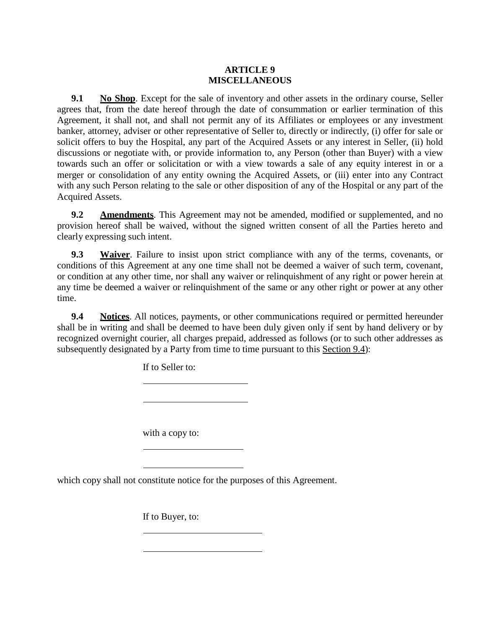#### **ARTICLE 9 MISCELLANEOUS**

**9.1 No Shop**. Except for the sale of inventory and other assets in the ordinary course, Seller agrees that, from the date hereof through the date of consummation or earlier termination of this Agreement, it shall not, and shall not permit any of its Affiliates or employees or any investment banker, attorney, adviser or other representative of Seller to, directly or indirectly, (i) offer for sale or solicit offers to buy the Hospital, any part of the Acquired Assets or any interest in Seller, (ii) hold discussions or negotiate with, or provide information to, any Person (other than Buyer) with a view towards such an offer or solicitation or with a view towards a sale of any equity interest in or a merger or consolidation of any entity owning the Acquired Assets, or (iii) enter into any Contract with any such Person relating to the sale or other disposition of any of the Hospital or any part of the Acquired Assets.

**9.2 Amendments**. This Agreement may not be amended, modified or supplemented, and no provision hereof shall be waived, without the signed written consent of all the Parties hereto and clearly expressing such intent.

**9.3 Waiver**. Failure to insist upon strict compliance with any of the terms, covenants, or conditions of this Agreement at any one time shall not be deemed a waiver of such term, covenant, or condition at any other time, nor shall any waiver or relinquishment of any right or power herein at any time be deemed a waiver or relinquishment of the same or any other right or power at any other time.

**9.4 Notices**. All notices, payments, or other communications required or permitted hereunder shall be in writing and shall be deemed to have been duly given only if sent by hand delivery or by recognized overnight courier, all charges prepaid, addressed as follows (or to such other addresses as subsequently designated by a Party from time to time pursuant to this Section 9.4):

If to Seller to:

with a copy to:

which copy shall not constitute notice for the purposes of this Agreement.

If to Buyer, to: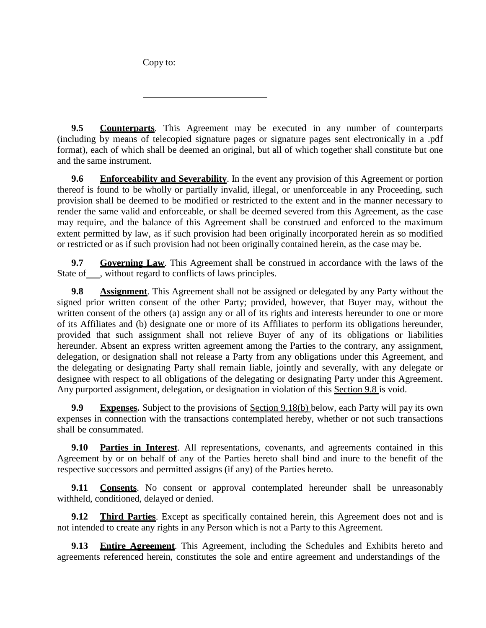Copy to:

**9.5 Counterparts**. This Agreement may be executed in any number of counterparts (including by means of telecopied signature pages or signature pages sent electronically in a .pdf format), each of which shall be deemed an original, but all of which together shall constitute but one and the same instrument.

**9.6 Enforceability and Severability**. In the event any provision of this Agreement or portion thereof is found to be wholly or partially invalid, illegal, or unenforceable in any Proceeding, such provision shall be deemed to be modified or restricted to the extent and in the manner necessary to render the same valid and enforceable, or shall be deemed severed from this Agreement, as the case may require, and the balance of this Agreement shall be construed and enforced to the maximum extent permitted by law, as if such provision had been originally incorporated herein as so modified or restricted or as if such provision had not been originally contained herein, as the case may be.

**9.7 Governing Law**. This Agreement shall be construed in accordance with the laws of the State of , without regard to conflicts of laws principles.

**9.8 Assignment**. This Agreement shall not be assigned or delegated by any Party without the signed prior written consent of the other Party; provided, however, that Buyer may, without the written consent of the others (a) assign any or all of its rights and interests hereunder to one or more of its Affiliates and (b) designate one or more of its Affiliates to perform its obligations hereunder, provided that such assignment shall not relieve Buyer of any of its obligations or liabilities hereunder. Absent an express written agreement among the Parties to the contrary, any assignment, delegation, or designation shall not release a Party from any obligations under this Agreement, and the delegating or designating Party shall remain liable, jointly and severally, with any delegate or designee with respect to all obligations of the delegating or designating Party under this Agreement. Any purported assignment, delegation, or designation in violation of this Section 9.8 is void.

**9.9 Expenses.** Subject to the provisions of Section 9.18(b) below, each Party will pay its own expenses in connection with the transactions contemplated hereby, whether or not such transactions shall be consummated.

**9.10 Parties in Interest**. All representations, covenants, and agreements contained in this Agreement by or on behalf of any of the Parties hereto shall bind and inure to the benefit of the respective successors and permitted assigns (if any) of the Parties hereto.

**9.11 Consents**. No consent or approval contemplated hereunder shall be unreasonably withheld, conditioned, delayed or denied.

**9.12 Third Parties**. Except as specifically contained herein, this Agreement does not and is not intended to create any rights in any Person which is not a Party to this Agreement.

**9.13 Entire Agreement**. This Agreement, including the Schedules and Exhibits hereto and agreements referenced herein, constitutes the sole and entire agreement and understandings of the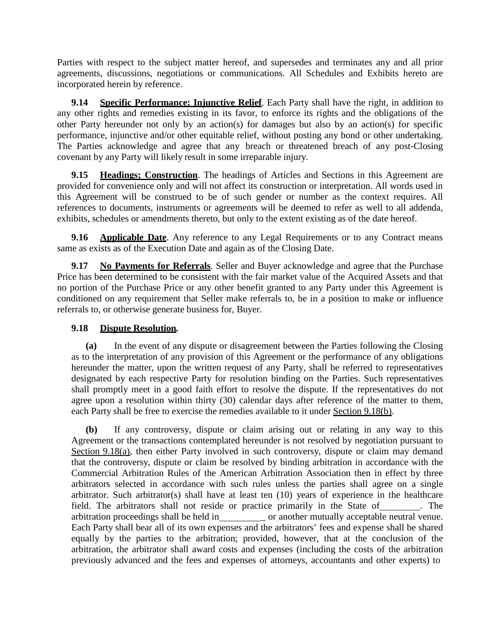Parties with respect to the subject matter hereof, and supersedes and terminates any and all prior agreements, discussions, negotiations or communications. All Schedules and Exhibits hereto are incorporated herein by reference.

**9.14 Specific Performance; Injunctive Relief**. Each Party shall have the right, in addition to any other rights and remedies existing in its favor, to enforce its rights and the obligations of the other Party hereunder not only by an action(s) for damages but also by an action(s) for specific performance, injunctive and/or other equitable relief, without posting any bond or other undertaking. The Parties acknowledge and agree that any breach or threatened breach of any post-Closing covenant by any Party will likely result in some irreparable injury.

**9.15 Headings; Construction**. The headings of Articles and Sections in this Agreement are provided for convenience only and will not affect its construction or interpretation. All words used in this Agreement will be construed to be of such gender or number as the context requires. All references to documents, instruments or agreements will be deemed to refer as well to all addenda, exhibits, schedules or amendments thereto, but only to the extent existing as of the date hereof.

**9.16 Applicable Date**. Any reference to any Legal Requirements or to any Contract means same as exists as of the Execution Date and again as of the Closing Date.

**9.17 No Payments for Referrals**. Seller and Buyer acknowledge and agree that the Purchase Price has been determined to be consistent with the fair market value of the Acquired Assets and that no portion of the Purchase Price or any other benefit granted to any Party under this Agreement is conditioned on any requirement that Seller make referrals to, be in a position to make or influence referrals to, or otherwise generate business for, Buyer.

# **9.18 Dispute Resolution***.*

**(a)** In the event of any dispute or disagreement between the Parties following the Closing as to the interpretation of any provision of this Agreement or the performance of any obligations hereunder the matter, upon the written request of any Party, shall be referred to representatives designated by each respective Party for resolution binding on the Parties. Such representatives shall promptly meet in a good faith effort to resolve the dispute. If the representatives do not agree upon a resolution within thirty (30) calendar days after reference of the matter to them, each Party shall be free to exercise the remedies available to it under Section 9.18(b).

**(b)** If any controversy, dispute or claim arising out or relating in any way to this Agreement or the transactions contemplated hereunder is not resolved by negotiation pursuant to Section 9.18(a), then either Party involved in such controversy, dispute or claim may demand that the controversy, dispute or claim be resolved by binding arbitration in accordance with the Commercial Arbitration Rules of the American Arbitration Association then in effect by three arbitrators selected in accordance with such rules unless the parties shall agree on a single arbitrator. Such arbitrator(s) shall have at least ten (10) years of experience in the healthcare field. The arbitrators shall not reside or practice primarily in the State of \_\_\_\_\_\_\_. The arbitration proceedings shall be held in \_\_\_\_\_\_\_\_\_\_\_ or another mutually acceptable neutral venue. Each Party shall bear all of its own expenses and the arbitrators' fees and expense shall be shared equally by the parties to the arbitration; provided, however, that at the conclusion of the arbitration, the arbitrator shall award costs and expenses (including the costs of the arbitration previously advanced and the fees and expenses of attorneys, accountants and other experts) to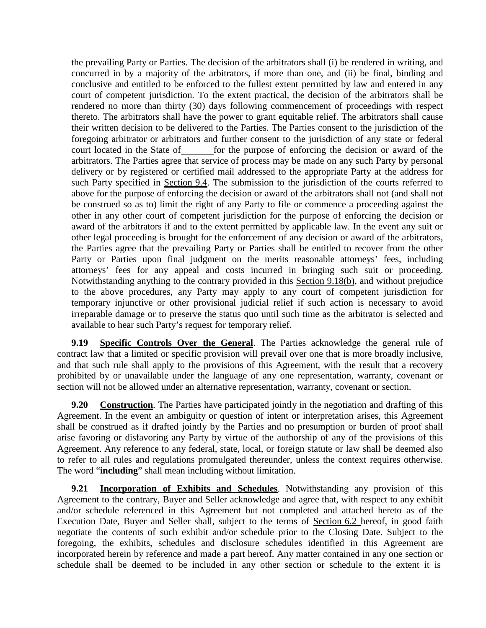the prevailing Party or Parties. The decision of the arbitrators shall (i) be rendered in writing, and concurred in by a majority of the arbitrators, if more than one, and (ii) be final, binding and conclusive and entitled to be enforced to the fullest extent permitted by law and entered in any court of competent jurisdiction. To the extent practical, the decision of the arbitrators shall be rendered no more than thirty (30) days following commencement of proceedings with respect thereto. The arbitrators shall have the power to grant equitable relief. The arbitrators shall cause their written decision to be delivered to the Parties. The Parties consent to the jurisdiction of the foregoing arbitrator or arbitrators and further consent to the jurisdiction of any state or federal court located in the State of for the purpose of enforcing the decision or award of the arbitrators. The Parties agree that service of process may be made on any such Party by personal delivery or by registered or certified mail addressed to the appropriate Party at the address for such Party specified in Section 9.4. The submission to the jurisdiction of the courts referred to above for the purpose of enforcing the decision or award of the arbitrators shall not (and shall not be construed so as to) limit the right of any Party to file or commence a proceeding against the other in any other court of competent jurisdiction for the purpose of enforcing the decision or award of the arbitrators if and to the extent permitted by applicable law. In the event any suit or other legal proceeding is brought for the enforcement of any decision or award of the arbitrators, the Parties agree that the prevailing Party or Parties shall be entitled to recover from the other Party or Parties upon final judgment on the merits reasonable attorneys' fees, including attorneys' fees for any appeal and costs incurred in bringing such suit or proceeding. Notwithstanding anything to the contrary provided in this Section 9.18(b), and without prejudice to the above procedures, any Party may apply to any court of competent jurisdiction for temporary injunctive or other provisional judicial relief if such action is necessary to avoid irreparable damage or to preserve the status quo until such time as the arbitrator is selected and available to hear such Party's request for temporary relief.

**9.19 Specific Controls Over the General**. The Parties acknowledge the general rule of contract law that a limited or specific provision will prevail over one that is more broadly inclusive, and that such rule shall apply to the provisions of this Agreement, with the result that a recovery prohibited by or unavailable under the language of any one representation, warranty, covenant or section will not be allowed under an alternative representation, warranty, covenant or section.

**9.20 Construction**. The Parties have participated jointly in the negotiation and drafting of this Agreement. In the event an ambiguity or question of intent or interpretation arises, this Agreement shall be construed as if drafted jointly by the Parties and no presumption or burden of proof shall arise favoring or disfavoring any Party by virtue of the authorship of any of the provisions of this Agreement. Any reference to any federal, state, local, or foreign statute or law shall be deemed also to refer to all rules and regulations promulgated thereunder, unless the context requires otherwise. The word "**including**" shall mean including without limitation.

**9.21 Incorporation of Exhibits and Schedules**. Notwithstanding any provision of this Agreement to the contrary, Buyer and Seller acknowledge and agree that, with respect to any exhibit and/or schedule referenced in this Agreement but not completed and attached hereto as of the Execution Date, Buyer and Seller shall, subject to the terms of Section 6.2 hereof, in good faith negotiate the contents of such exhibit and/or schedule prior to the Closing Date. Subject to the foregoing, the exhibits, schedules and disclosure schedules identified in this Agreement are incorporated herein by reference and made a part hereof. Any matter contained in any one section or schedule shall be deemed to be included in any other section or schedule to the extent it is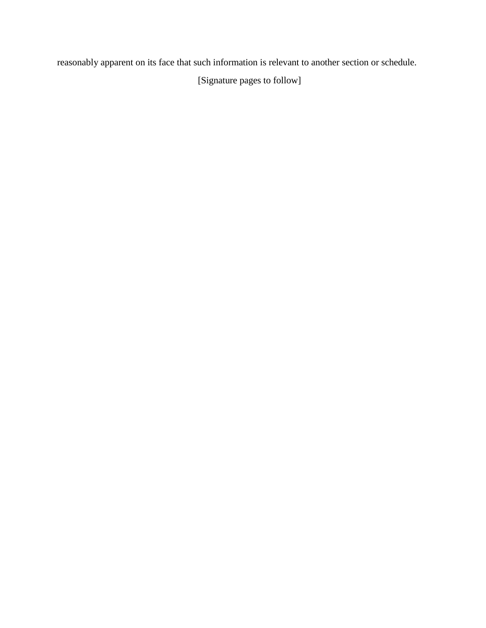reasonably apparent on its face that such information is relevant to another section or schedule.

[Signature pages to follow]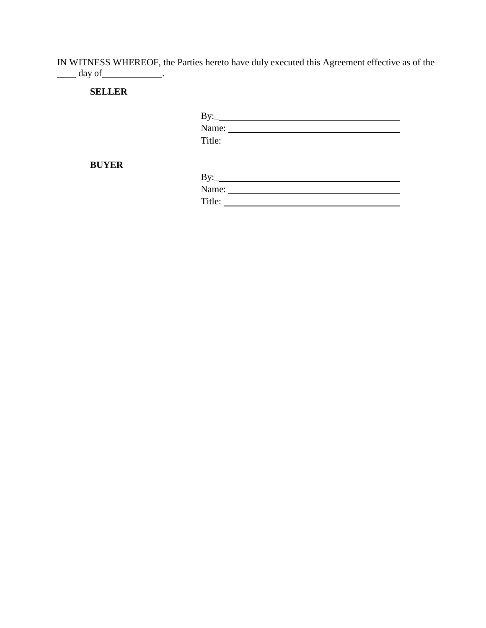IN WITNESS WHEREOF, the Parties hereto have duly executed this Agreement effective as of the day of .

**SELLER**

| By:    |  |  |  |
|--------|--|--|--|
| Name:  |  |  |  |
| Title: |  |  |  |
|        |  |  |  |

**BUYER**

| By:    |  |
|--------|--|
| Name:  |  |
| Title: |  |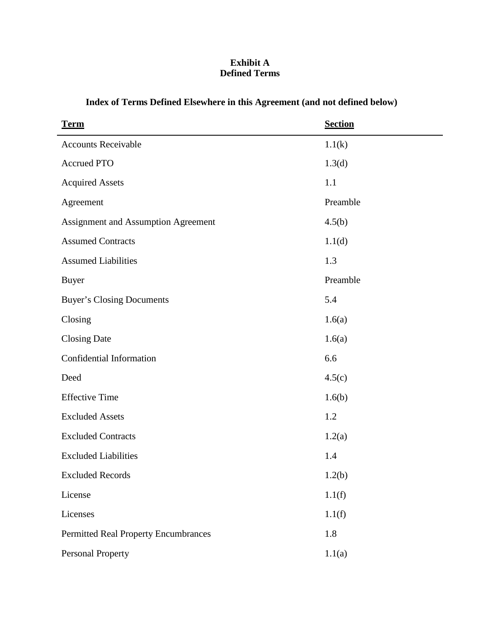# **Exhibit A Defined Terms**

| <b>Term</b>                          | <b>Section</b> |
|--------------------------------------|----------------|
| <b>Accounts Receivable</b>           | 1.1(k)         |
| <b>Accrued PTO</b>                   | 1.3(d)         |
| <b>Acquired Assets</b>               | 1.1            |
| Agreement                            | Preamble       |
| Assignment and Assumption Agreement  | 4.5(b)         |
| <b>Assumed Contracts</b>             | 1.1(d)         |
| <b>Assumed Liabilities</b>           | 1.3            |
| <b>Buyer</b>                         | Preamble       |
| <b>Buyer's Closing Documents</b>     | 5.4            |
| Closing                              | 1.6(a)         |
| <b>Closing Date</b>                  | 1.6(a)         |
| Confidential Information             | 6.6            |
| Deed                                 | 4.5(c)         |
| <b>Effective Time</b>                | 1.6(b)         |
| <b>Excluded Assets</b>               | 1.2            |
| <b>Excluded Contracts</b>            | 1.2(a)         |
| <b>Excluded Liabilities</b>          | 1.4            |
| <b>Excluded Records</b>              | 1.2(b)         |
| License                              | 1.1(f)         |
| Licenses                             | 1.1(f)         |
| Permitted Real Property Encumbrances | 1.8            |
| <b>Personal Property</b>             | 1.1(a)         |

# **Index of Terms Defined Elsewhere in this Agreement (and not defined below)**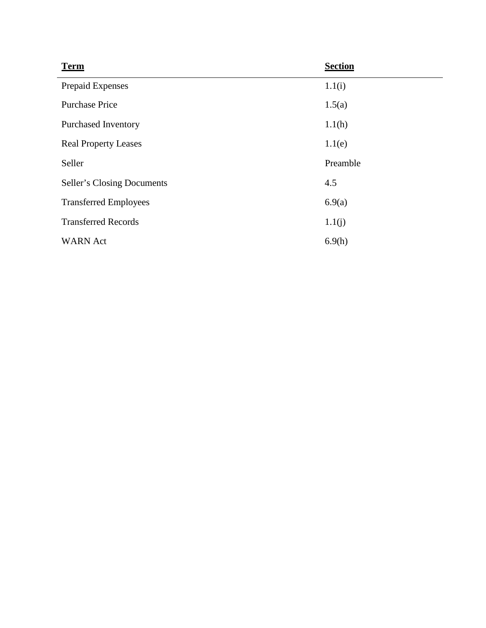| <b>Term</b>                  | <b>Section</b> |
|------------------------------|----------------|
| Prepaid Expenses             | 1.1(i)         |
| <b>Purchase Price</b>        | 1.5(a)         |
| Purchased Inventory          | 1.1(h)         |
| <b>Real Property Leases</b>  | 1.1(e)         |
| Seller                       | Preamble       |
| Seller's Closing Documents   | 4.5            |
| <b>Transferred Employees</b> | 6.9(a)         |
| <b>Transferred Records</b>   | 1.1(j)         |
| <b>WARN</b> Act              | 6.9(h)         |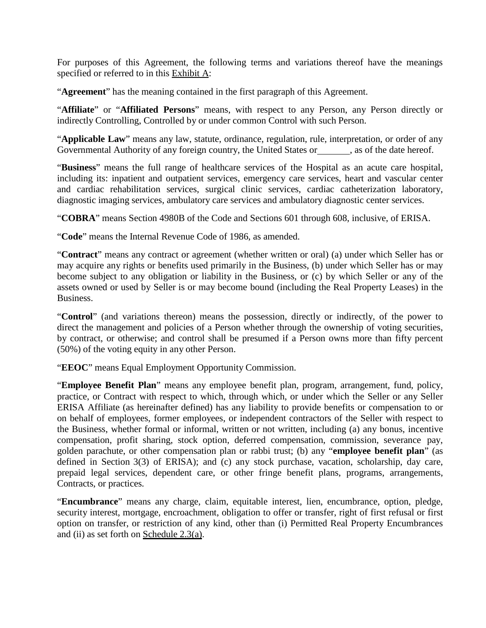For purposes of this Agreement, the following terms and variations thereof have the meanings specified or referred to in this Exhibit A:

"**Agreement**" has the meaning contained in the first paragraph of this Agreement.

"**Affiliate**" or "**Affiliated Persons**" means, with respect to any Person, any Person directly or indirectly Controlling, Controlled by or under common Control with such Person.

"**Applicable Law**" means any law, statute, ordinance, regulation, rule, interpretation, or order of any Governmental Authority of any foreign country, the United States or , as of the date hereof.

"**Business**" means the full range of healthcare services of the Hospital as an acute care hospital, including its: inpatient and outpatient services, emergency care services, heart and vascular center and cardiac rehabilitation services, surgical clinic services, cardiac catheterization laboratory, diagnostic imaging services, ambulatory care services and ambulatory diagnostic center services.

"**COBRA**" means Section 4980B of the Code and Sections 601 through 608, inclusive, of ERISA.

"**Code**" means the Internal Revenue Code of 1986, as amended.

"**Contract**" means any contract or agreement (whether written or oral) (a) under which Seller has or may acquire any rights or benefits used primarily in the Business, (b) under which Seller has or may become subject to any obligation or liability in the Business, or (c) by which Seller or any of the assets owned or used by Seller is or may become bound (including the Real Property Leases) in the Business.

"**Control**" (and variations thereon) means the possession, directly or indirectly, of the power to direct the management and policies of a Person whether through the ownership of voting securities, by contract, or otherwise; and control shall be presumed if a Person owns more than fifty percent (50%) of the voting equity in any other Person.

"**EEOC**" means Equal Employment Opportunity Commission.

"**Employee Benefit Plan**" means any employee benefit plan, program, arrangement, fund, policy, practice, or Contract with respect to which, through which, or under which the Seller or any Seller ERISA Affiliate (as hereinafter defined) has any liability to provide benefits or compensation to or on behalf of employees, former employees, or independent contractors of the Seller with respect to the Business, whether formal or informal, written or not written, including (a) any bonus, incentive compensation, profit sharing, stock option, deferred compensation, commission, severance pay, golden parachute, or other compensation plan or rabbi trust; (b) any "**employee benefit plan**" (as defined in Section 3(3) of ERISA); and (c) any stock purchase, vacation, scholarship, day care, prepaid legal services, dependent care, or other fringe benefit plans, programs, arrangements, Contracts, or practices.

"**Encumbrance**" means any charge, claim, equitable interest, lien, encumbrance, option, pledge, security interest, mortgage, encroachment, obligation to offer or transfer, right of first refusal or first option on transfer, or restriction of any kind, other than (i) Permitted Real Property Encumbrances and (ii) as set forth on Schedule  $2.3(a)$ .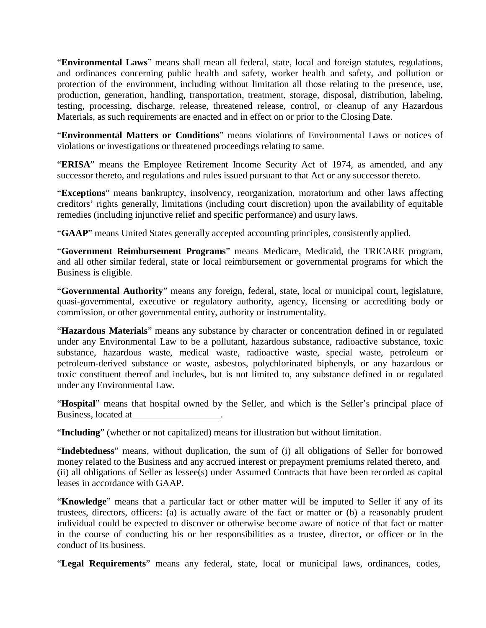"**Environmental Laws**" means shall mean all federal, state, local and foreign statutes, regulations, and ordinances concerning public health and safety, worker health and safety, and pollution or protection of the environment, including without limitation all those relating to the presence, use, production, generation, handling, transportation, treatment, storage, disposal, distribution, labeling, testing, processing, discharge, release, threatened release, control, or cleanup of any Hazardous Materials, as such requirements are enacted and in effect on or prior to the Closing Date.

"**Environmental Matters or Conditions**" means violations of Environmental Laws or notices of violations or investigations or threatened proceedings relating to same.

"**ERISA**" means the Employee Retirement Income Security Act of 1974, as amended, and any successor thereto, and regulations and rules issued pursuant to that Act or any successor thereto.

"**Exceptions**" means bankruptcy, insolvency, reorganization, moratorium and other laws affecting creditors' rights generally, limitations (including court discretion) upon the availability of equitable remedies (including injunctive relief and specific performance) and usury laws.

"**GAAP**" means United States generally accepted accounting principles, consistently applied.

"**Government Reimbursement Programs**" means Medicare, Medicaid, the TRICARE program, and all other similar federal, state or local reimbursement or governmental programs for which the Business is eligible.

"**Governmental Authority**" means any foreign, federal, state, local or municipal court, legislature, quasi-governmental, executive or regulatory authority, agency, licensing or accrediting body or commission, or other governmental entity, authority or instrumentality.

"**Hazardous Materials**" means any substance by character or concentration defined in or regulated under any Environmental Law to be a pollutant, hazardous substance, radioactive substance, toxic substance, hazardous waste, medical waste, radioactive waste, special waste, petroleum or petroleum-derived substance or waste, asbestos, polychlorinated biphenyls, or any hazardous or toxic constituent thereof and includes, but is not limited to, any substance defined in or regulated under any Environmental Law.

"**Hospital**" means that hospital owned by the Seller, and which is the Seller's principal place of Business, located at .

"**Including**" (whether or not capitalized) means for illustration but without limitation.

"**Indebtedness**" means, without duplication, the sum of (i) all obligations of Seller for borrowed money related to the Business and any accrued interest or prepayment premiums related thereto, and (ii) all obligations of Seller as lessee(s) under Assumed Contracts that have been recorded as capital leases in accordance with GAAP.

"**Knowledge**" means that a particular fact or other matter will be imputed to Seller if any of its trustees, directors, officers: (a) is actually aware of the fact or matter or (b) a reasonably prudent individual could be expected to discover or otherwise become aware of notice of that fact or matter in the course of conducting his or her responsibilities as a trustee, director, or officer or in the conduct of its business.

"**Legal Requirements**" means any federal, state, local or municipal laws, ordinances, codes,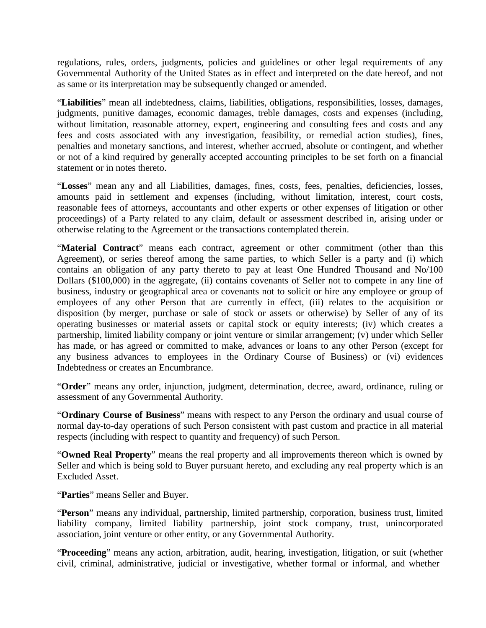regulations, rules, orders, judgments, policies and guidelines or other legal requirements of any Governmental Authority of the United States as in effect and interpreted on the date hereof, and not as same or its interpretation may be subsequently changed or amended.

"**Liabilities**" mean all indebtedness, claims, liabilities, obligations, responsibilities, losses, damages, judgments, punitive damages, economic damages, treble damages, costs and expenses (including, without limitation, reasonable attorney, expert, engineering and consulting fees and costs and any fees and costs associated with any investigation, feasibility, or remedial action studies), fines, penalties and monetary sanctions, and interest, whether accrued, absolute or contingent, and whether or not of a kind required by generally accepted accounting principles to be set forth on a financial statement or in notes thereto.

"**Losses**" mean any and all Liabilities, damages, fines, costs, fees, penalties, deficiencies, losses, amounts paid in settlement and expenses (including, without limitation, interest, court costs, reasonable fees of attorneys, accountants and other experts or other expenses of litigation or other proceedings) of a Party related to any claim, default or assessment described in, arising under or otherwise relating to the Agreement or the transactions contemplated therein.

"**Material Contract**" means each contract, agreement or other commitment (other than this Agreement), or series thereof among the same parties, to which Seller is a party and (i) which contains an obligation of any party thereto to pay at least One Hundred Thousand and No/100 Dollars (\$100,000) in the aggregate, (ii) contains covenants of Seller not to compete in any line of business, industry or geographical area or covenants not to solicit or hire any employee or group of employees of any other Person that are currently in effect, (iii) relates to the acquisition or disposition (by merger, purchase or sale of stock or assets or otherwise) by Seller of any of its operating businesses or material assets or capital stock or equity interests; (iv) which creates a partnership, limited liability company or joint venture or similar arrangement; (v) under which Seller has made, or has agreed or committed to make, advances or loans to any other Person (except for any business advances to employees in the Ordinary Course of Business) or (vi) evidences Indebtedness or creates an Encumbrance.

"**Order**" means any order, injunction, judgment, determination, decree, award, ordinance, ruling or assessment of any Governmental Authority.

"**Ordinary Course of Business**" means with respect to any Person the ordinary and usual course of normal day-to-day operations of such Person consistent with past custom and practice in all material respects (including with respect to quantity and frequency) of such Person.

"**Owned Real Property**" means the real property and all improvements thereon which is owned by Seller and which is being sold to Buyer pursuant hereto, and excluding any real property which is an Excluded Asset.

"**Parties**" means Seller and Buyer.

"**Person**" means any individual, partnership, limited partnership, corporation, business trust, limited liability company, limited liability partnership, joint stock company, trust, unincorporated association, joint venture or other entity, or any Governmental Authority.

"**Proceeding**" means any action, arbitration, audit, hearing, investigation, litigation, or suit (whether civil, criminal, administrative, judicial or investigative, whether formal or informal, and whether